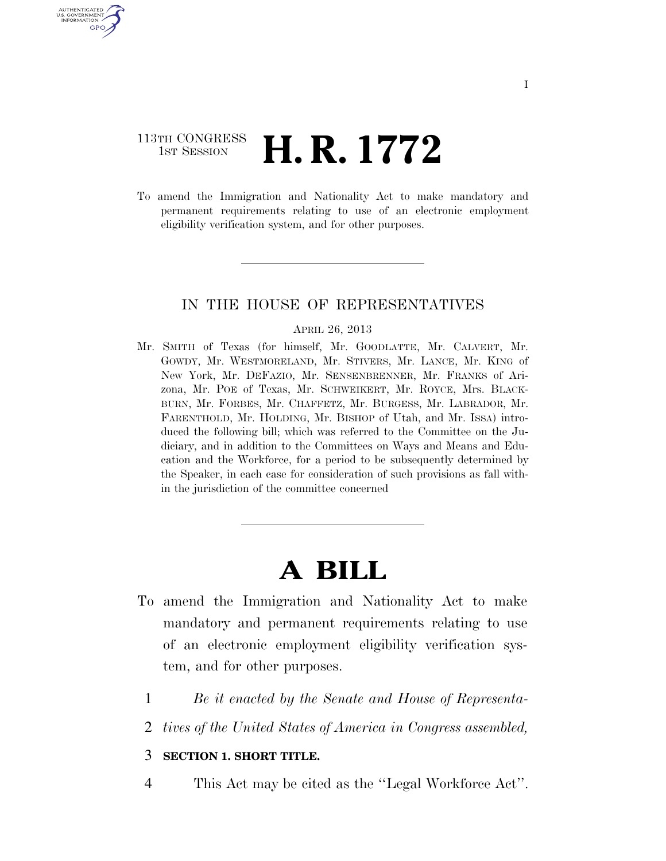### 113TH CONGRESS **1st Session H. R. 1772**

AUTHENTICATED U.S. GOVERNMENT GPO

> To amend the Immigration and Nationality Act to make mandatory and permanent requirements relating to use of an electronic employment eligibility verification system, and for other purposes.

#### IN THE HOUSE OF REPRESENTATIVES

#### APRIL 26, 2013

Mr. SMITH of Texas (for himself, Mr. GOODLATTE, Mr. CALVERT, Mr. GOWDY, Mr. WESTMORELAND, Mr. STIVERS, Mr. LANCE, Mr. KING of New York, Mr. DEFAZIO, Mr. SENSENBRENNER, Mr. FRANKS of Arizona, Mr. POE of Texas, Mr. SCHWEIKERT, Mr. ROYCE, Mrs. BLACK-BURN, Mr. FORBES, Mr. CHAFFETZ, Mr. BURGESS, Mr. LABRADOR, Mr. FARENTHOLD, Mr. HOLDING, Mr. BISHOP of Utah, and Mr. ISSA) introduced the following bill; which was referred to the Committee on the Judiciary, and in addition to the Committees on Ways and Means and Education and the Workforce, for a period to be subsequently determined by the Speaker, in each case for consideration of such provisions as fall within the jurisdiction of the committee concerned

# **A BILL**

- To amend the Immigration and Nationality Act to make mandatory and permanent requirements relating to use of an electronic employment eligibility verification system, and for other purposes.
	- 1 *Be it enacted by the Senate and House of Representa-*
	- 2 *tives of the United States of America in Congress assembled,*

#### 3 **SECTION 1. SHORT TITLE.**

4 This Act may be cited as the ''Legal Workforce Act''.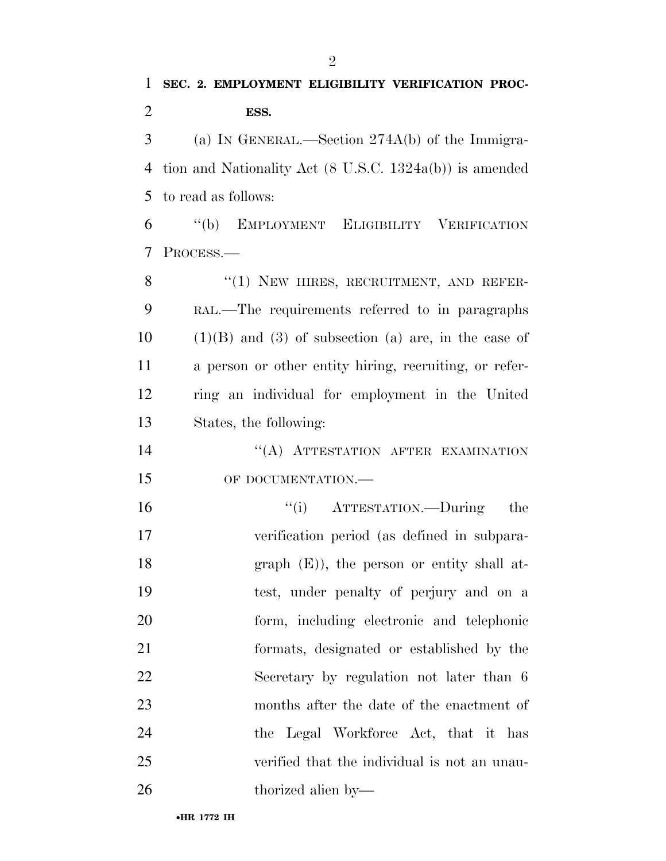(a) IN GENERAL.—Section 274A(b) of the Immigra- tion and Nationality Act (8 U.S.C. 1324a(b)) is amended to read as follows:

 ''(b) EMPLOYMENT ELIGIBILITY VERIFICATION PROCESS.—

8 "(1) NEW HIRES, RECRUITMENT, AND REFER- RAL.—The requirements referred to in paragraphs (1)(B) and (3) of subsection (a) are, in the case of a person or other entity hiring, recruiting, or refer- ring an individual for employment in the United States, the following:

14 "(A) ATTESTATION AFTER EXAMINATION OF DOCUMENTATION.—

 ''(i) ATTESTATION.—During the verification period (as defined in subpara-18 graph (E)), the person or entity shall at- test, under penalty of perjury and on a form, including electronic and telephonic formats, designated or established by the Secretary by regulation not later than 6 months after the date of the enactment of 24 the Legal Workforce Act, that it has verified that the individual is not an unau-thorized alien by—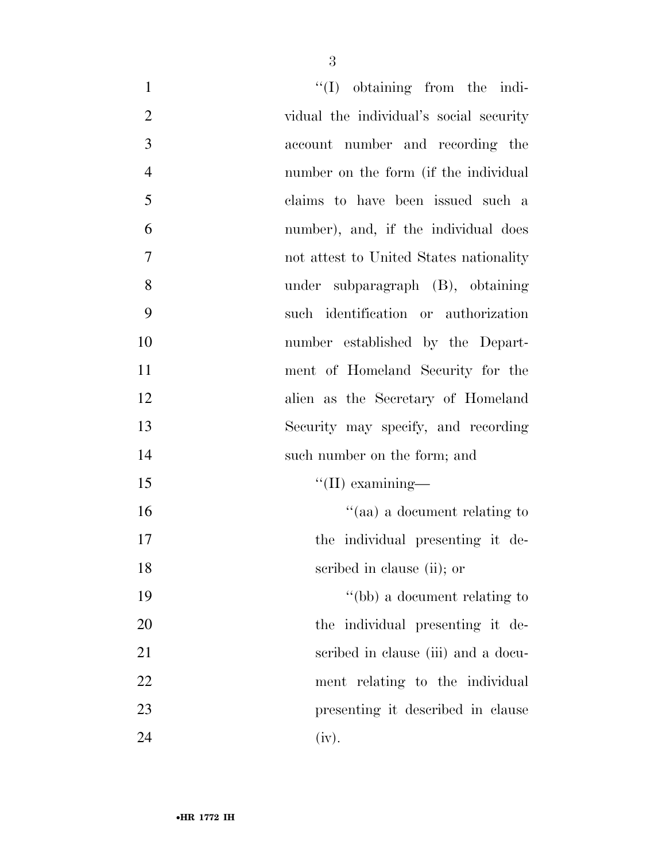| $\mathbf{1}$   | $\lq\lq$ (I) obtaining from the indi-   |
|----------------|-----------------------------------------|
| $\overline{2}$ | vidual the individual's social security |
| 3              | account number and recording the        |
| $\overline{4}$ | number on the form (if the individual   |
| 5              | claims to have been issued such a       |
| 6              | number), and, if the individual does    |
| $\overline{7}$ | not attest to United States nationality |
| 8              | under subparagraph (B), obtaining       |
| 9              | such identification or authorization    |
| 10             | number established by the Depart-       |
| 11             | ment of Homeland Security for the       |
| 12             | alien as the Secretary of Homeland      |
| 13             | Security may specify, and recording     |
| 14             | such number on the form; and            |
| 15             | $\lq\lq$ (II) examining—                |
| 16             | "(aa) a document relating to            |
| 17             | the individual presenting it de-        |
| 18             | scribed in clause (ii); or              |
| 19             | "(bb) a document relating to            |
| 20             | the individual presenting it de-        |
| 21             | scribed in clause (iii) and a docu-     |
| 22             | ment relating to the individual         |
| 23             | presenting it described in clause       |
| 24             | (iv).                                   |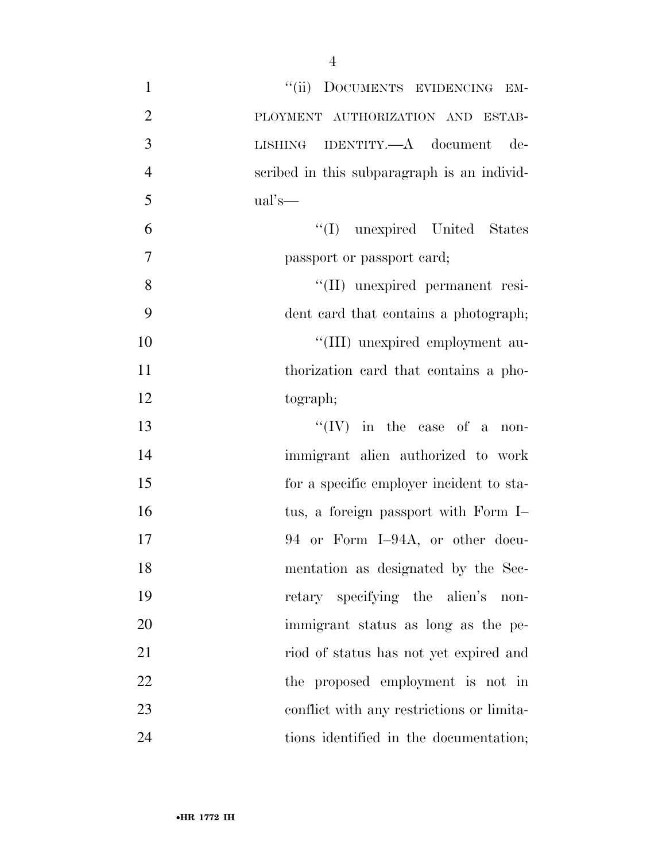| $\mathbf{1}$   | "(ii) DOCUMENTS EVIDENCING EM-              |
|----------------|---------------------------------------------|
| $\overline{2}$ | PLOYMENT AUTHORIZATION AND ESTAB-           |
| 3              | LISHING IDENTITY.—A document de-            |
| $\overline{4}$ | scribed in this subparagraph is an individ- |
| 5              | $ual's$ —                                   |
| 6              | "(I) unexpired United States                |
| $\overline{7}$ | passport or passport card;                  |
| 8              | "(II) unexpired permanent resi-             |
| 9              | dent card that contains a photograph;       |
| 10             | "(III) unexpired employment au-             |
| 11             | thorization card that contains a pho-       |
| 12             | tograph;                                    |
| 13             | $``(IV)$ in the case of a non-              |
| 14             | immigrant alien authorized to work          |
| 15             | for a specific employer incident to sta-    |
| 16             | tus, a foreign passport with Form I-        |
| 17             | 94 or Form I-94A, or other docu-            |
| 18             | mentation as designated by the Sec-         |
| 19             | retary specifying the alien's<br>non-       |
| 20             | immigrant status as long as the pe-         |
| 21             | riod of status has not yet expired and      |
| 22             | the proposed employment is not in           |
| 23             | conflict with any restrictions or limita-   |
| 24             | tions identified in the documentation;      |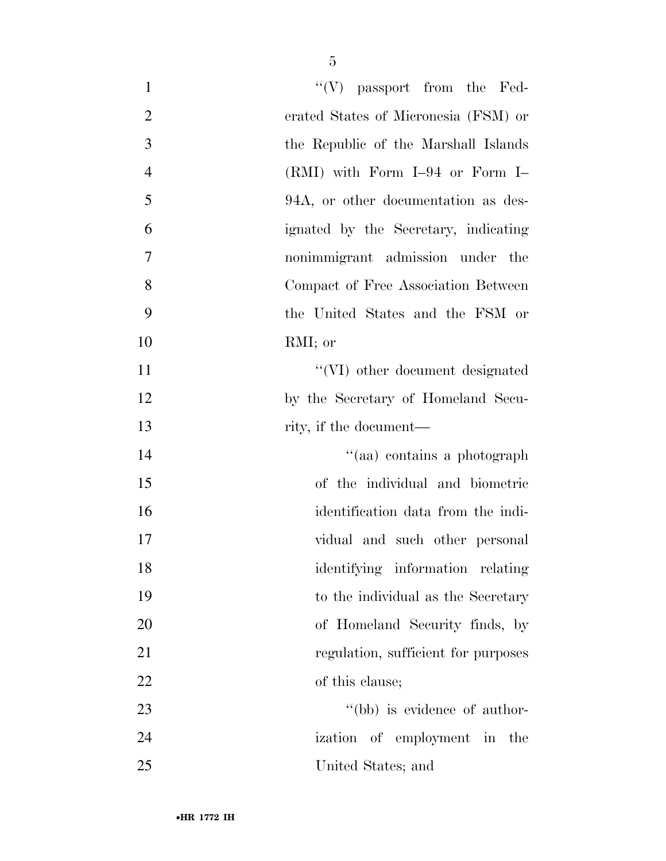| $\mathbf{1}$   | $\lq\lq(V)$ passport from the Fed-   |
|----------------|--------------------------------------|
| $\overline{2}$ | erated States of Micronesia (FSM) or |
| 3              | the Republic of the Marshall Islands |
| $\overline{4}$ | $(RMI)$ with Form I-94 or Form I-    |
| 5              | 94A, or other documentation as des-  |
| 6              | ignated by the Secretary, indicating |
| 7              | nonimmigrant admission under the     |
| 8              | Compact of Free Association Between  |
| 9              | the United States and the FSM or     |
| 10             | RMI; or                              |
| 11             | "(VI) other document designated      |
| 12             | by the Secretary of Homeland Secu-   |
| 13             | rity, if the document—               |
| 14             | "(aa) contains a photograph          |
| 15             | of the individual and biometric      |
| 16             | identification data from the indi-   |
| 17             | vidual and such other personal       |
| 18             | identifying information relating     |
| 19             | to the individual as the Secretary   |
| 20             | of Homeland Security finds, by       |
| 21             | regulation, sufficient for purposes  |
| 22             | of this clause;                      |
| 23             | "(bb) is evidence of author-         |
| 24             | ization of employment in the         |
| 25             | United States; and                   |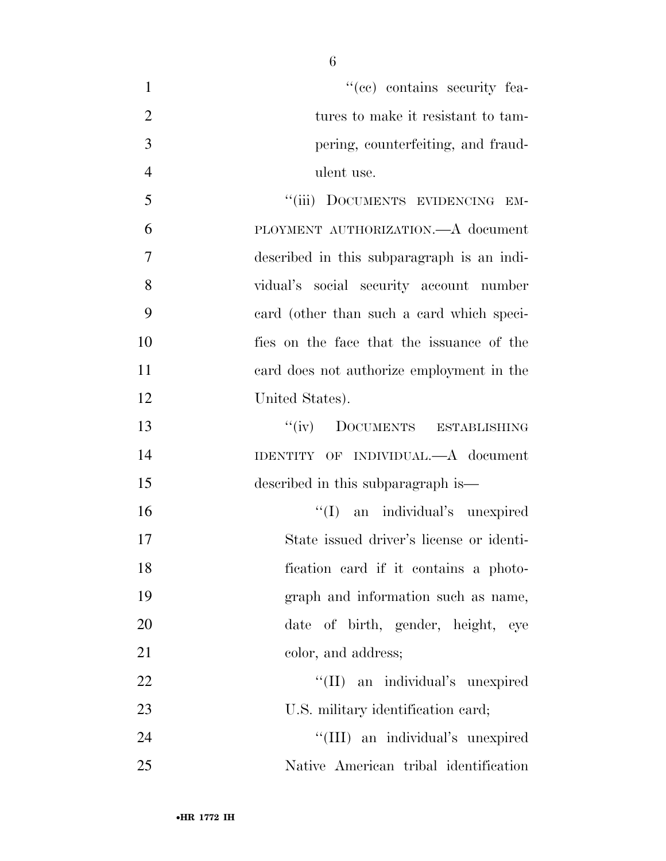$\lq\lq$  (ce) contains security fea-2 tures to make it resistant to tam- pering, counterfeiting, and fraud-ulent use.

5 "(iii) DOCUMENTS EVIDENCING EM- PLOYMENT AUTHORIZATION.—A document described in this subparagraph is an indi- vidual's social security account number card (other than such a card which speci- fies on the face that the issuance of the card does not authorize employment in the United States).

 ''(iv) DOCUMENTS ESTABLISHING IDENTITY OF INDIVIDUAL.—A document described in this subparagraph is—

 $\langle (I)$  an individual's unexpired State issued driver's license or identi- fication card if it contains a photo- graph and information such as name, date of birth, gender, height, eye 21 color, and address;

22 ''(II) an individual's unexpired 23 U.S. military identification card;

24 ''(III) an individual's unexpired Native American tribal identification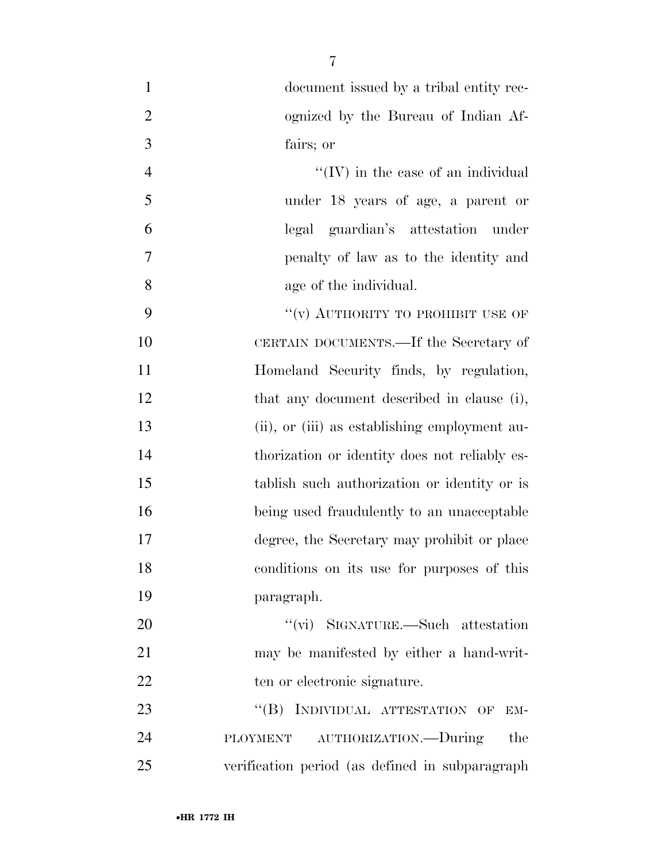| $\mathbf{1}$   | document issued by a tribal entity rec-          |
|----------------|--------------------------------------------------|
| $\overline{2}$ | ognized by the Bureau of Indian Af-              |
| 3              | fairs; or                                        |
| $\overline{4}$ | $\lq\lq$ (IV) in the case of an individual       |
| 5              | under 18 years of age, a parent or               |
| 6              | legal guardian's attestation under               |
| 7              | penalty of law as to the identity and            |
| 8              | age of the individual.                           |
| 9              | "(v) AUTHORITY TO PROHIBIT USE OF                |
| 10             | CERTAIN DOCUMENTS.—If the Secretary of           |
| 11             | Homeland Security finds, by regulation,          |
| 12             | that any document described in clause (i),       |
| 13             | (ii), or (iii) as establishing employment au-    |
| 14             | thorization or identity does not reliably es-    |
| 15             | tablish such authorization or identity or is     |
| 16             | being used fraudulently to an unacceptable       |
| 17             | degree, the Secretary may prohibit or place      |
| 18             | conditions on its use for purposes of this       |
| 19             | paragraph.                                       |
| 20             | "(vi) SIGNATURE.—Such attestation                |
| 21             | may be manifested by either a hand-writ-         |
| 22             | ten or electronic signature.                     |
| 23             | INDIVIDUAL ATTESTATION OF<br>$\lq\lq (B)$<br>EM- |
| 24             | PLOYMENT AUTHORIZATION.-During<br>the            |
| 25             | verification period (as defined in subparagraph  |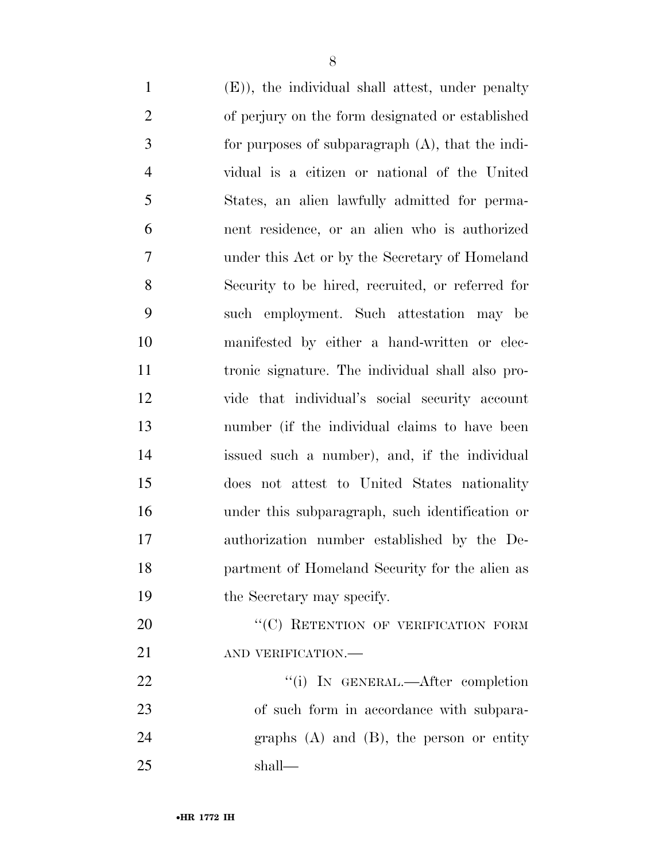(E)), the individual shall attest, under penalty of perjury on the form designated or established for purposes of subparagraph (A), that the indi- vidual is a citizen or national of the United States, an alien lawfully admitted for perma- nent residence, or an alien who is authorized under this Act or by the Secretary of Homeland Security to be hired, recruited, or referred for such employment. Such attestation may be manifested by either a hand-written or elec- tronic signature. The individual shall also pro- vide that individual's social security account number (if the individual claims to have been issued such a number), and, if the individual does not attest to United States nationality under this subparagraph, such identification or authorization number established by the De- partment of Homeland Security for the alien as the Secretary may specify. 20 "'(C) RETENTION OF VERIFICATION FORM 21 AND VERIFICATION.— 22 "(i) IN GENERAL.—After completion

 of such form in accordance with subpara- graphs (A) and (B), the person or entity shall—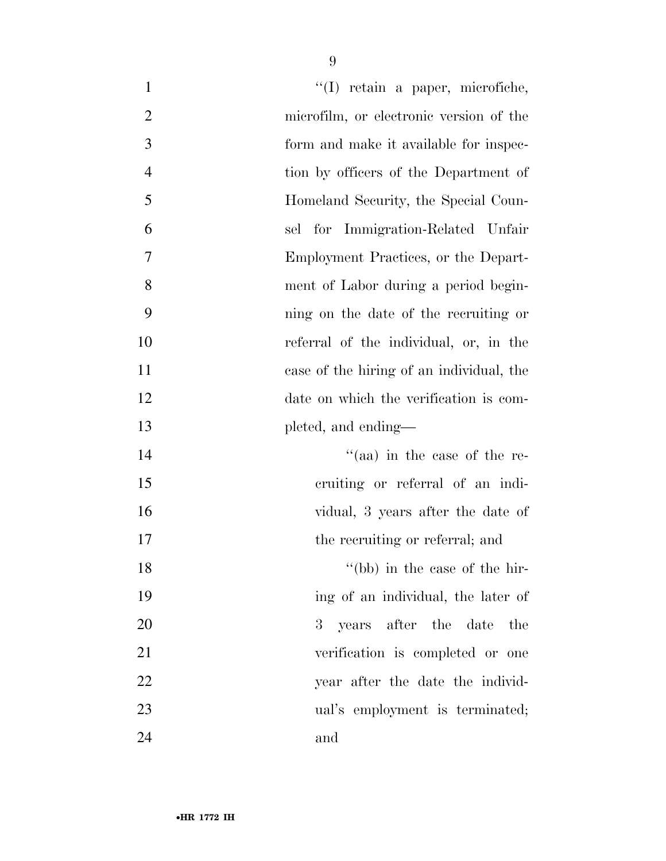| $\mathbf{1}$   | "(I) retain a paper, microfiche,         |
|----------------|------------------------------------------|
| $\overline{2}$ | microfilm, or electronic version of the  |
| 3              | form and make it available for inspec-   |
| $\overline{4}$ | tion by officers of the Department of    |
| 5              | Homeland Security, the Special Coun-     |
| 6              | sel for Immigration-Related Unfair       |
| $\tau$         | Employment Practices, or the Depart-     |
| 8              | ment of Labor during a period begin-     |
| 9              | ning on the date of the recruiting or    |
| 10             | referral of the individual, or, in the   |
| 11             | case of the hiring of an individual, the |
| 12             | date on which the verification is com-   |
| 13             | pleted, and ending—                      |
| 14             | "(aa) in the case of the re-             |
| 15             | cruiting or referral of an indi-         |
| 16             | vidual, 3 years after the date of        |
| 17             | the recruiting or referral; and          |
| 18             | "(bb) in the case of the hir-            |
| 19             | ing of an individual, the later of       |
| 20             | 3 years after the date the               |
| 21             | verification is completed or one         |
| 22             | year after the date the individ-         |
| 23             | ual's employment is terminated;          |
| 24             | and                                      |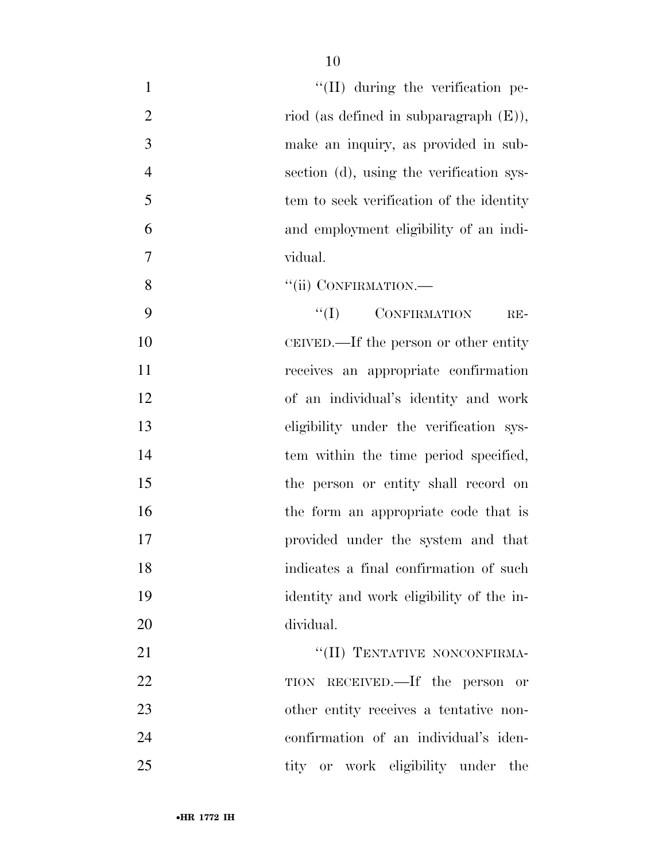| $\mathbf{1}$   | "(II) during the verification pe-         |
|----------------|-------------------------------------------|
| $\overline{2}$ | riod (as defined in subparagraph $(E)$ ), |
| 3              | make an inquiry, as provided in sub-      |
| $\overline{4}$ | section (d), using the verification sys-  |
| 5              | tem to seek verification of the identity  |
| 6              | and employment eligibility of an indi-    |
| $\overline{7}$ | vidual.                                   |
| 8              | "(ii) CONFIRMATION.-                      |
| 9              | $\lq\lq (I)$ CONFIRMATION<br>$RE-$        |
| 10             | CEIVED.—If the person or other entity     |
| 11             | receives an appropriate confirmation      |
| 12             | of an individual's identity and work      |
| 13             | eligibility under the verification sys-   |
| 14             | tem within the time period specified,     |
| 15             | the person or entity shall record on      |
| 16             | the form an appropriate code that is      |
| 17             | provided under the system and that        |
| 18             | indicates a final confirmation of such    |
| 19             | identity and work eligibility of the in-  |
| 20             | dividual.                                 |
| 21             | "(II) TENTATIVE NONCONFIRMA-              |
| 22             | TION RECEIVED.—If the person or           |
| 23             | other entity receives a tentative non-    |
| 24             | confirmation of an individual's iden-     |
| 25             | tity or work eligibility under the        |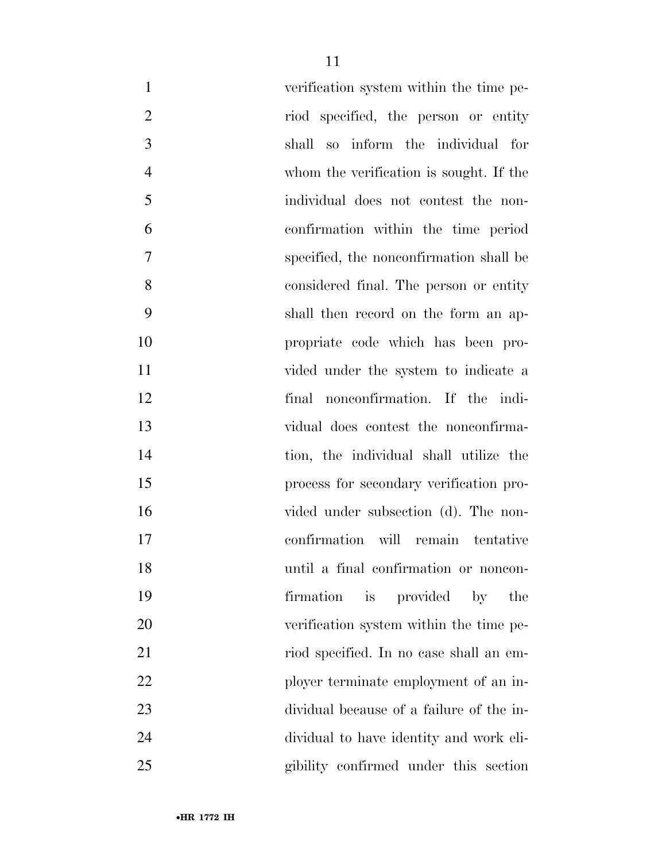| $\mathbf{1}$   | verification system within the time pe-            |
|----------------|----------------------------------------------------|
| $\overline{2}$ | riod specified, the person or entity               |
| 3              | shall so inform the individual for                 |
| $\overline{4}$ | whom the verification is sought. If the            |
| 5              | individual does not contest the non-               |
| 6              | confirmation within the time period                |
| 7              | specified, the nonconfirmation shall be            |
| 8              | considered final. The person or entity             |
| 9              | shall then record on the form an ap-               |
| 10             | propriate code which has been pro-                 |
| 11             | vided under the system to indicate a               |
| 12             | final nonconfirmation. If the indi-                |
| 13             | vidual does contest the nonconfirma-               |
| 14             | tion, the individual shall utilize the             |
| 15             | process for secondary verification pro-            |
| 16             | vided under subsection (d). The non-               |
| 17             | confirmation will remain tentative                 |
| 18             | until a final confirmation or noncon-              |
| 19             | provided<br>firmation<br>is<br>$\mathbf{b}$<br>the |
| 20             | verification system within the time pe-            |
| 21             | riod specified. In no case shall an em-            |
| 22             | ployer terminate employment of an in-              |
| 23             | dividual because of a failure of the in-           |
| 24             | dividual to have identity and work eli-            |
| 25             | gibility confirmed under this section              |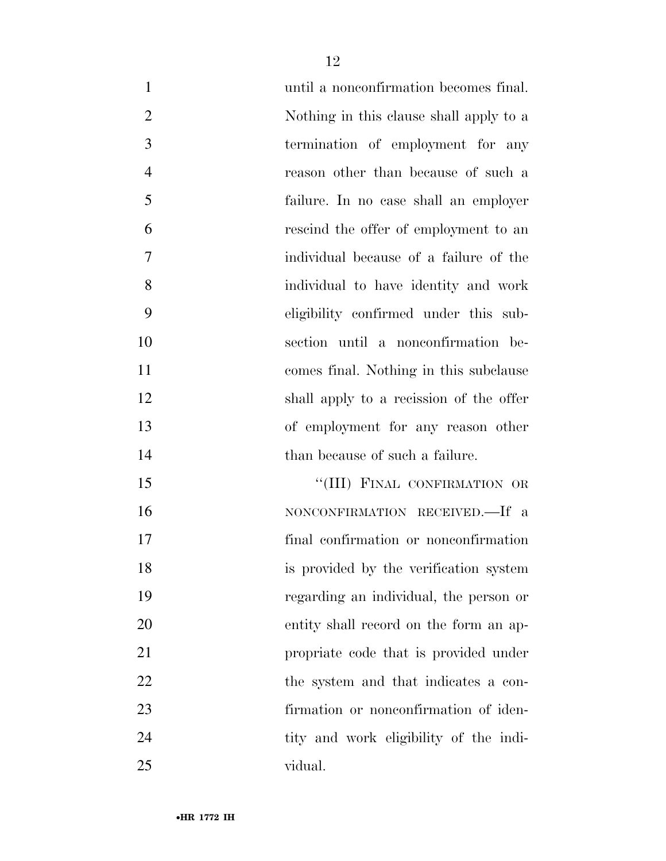| $\mathbf{1}$   | until a nonconfirmation becomes final.  |
|----------------|-----------------------------------------|
| $\overline{2}$ | Nothing in this clause shall apply to a |
| 3              | termination of employment for any       |
| $\overline{4}$ | reason other than because of such a     |
| 5              | failure. In no case shall an employer   |
| 6              | rescind the offer of employment to an   |
| 7              | individual because of a failure of the  |
| 8              | individual to have identity and work    |
| 9              | eligibility confirmed under this sub-   |
| 10             | section until a nonconfirmation be-     |
| 11             | comes final. Nothing in this subclause  |
| 12             | shall apply to a recission of the offer |
| 13             | of employment for any reason other      |
| 14             | than because of such a failure.         |
| 15             | "(III) FINAL CONFIRMATION OR            |
| 16             | NONCONFIRMATION RECEIVED.—If a          |
| 17             | final confirmation or nonconfirmation   |
| 18             | is provided by the verification system  |
| 19             | regarding an individual, the person or  |
| 20             | entity shall record on the form an ap-  |
| 21             | propriate code that is provided under   |
| 22             | the system and that indicates a con-    |
| 23             | firmation or nonconfirmation of iden-   |
| 24             | tity and work eligibility of the indi-  |
| 25             | vidual.                                 |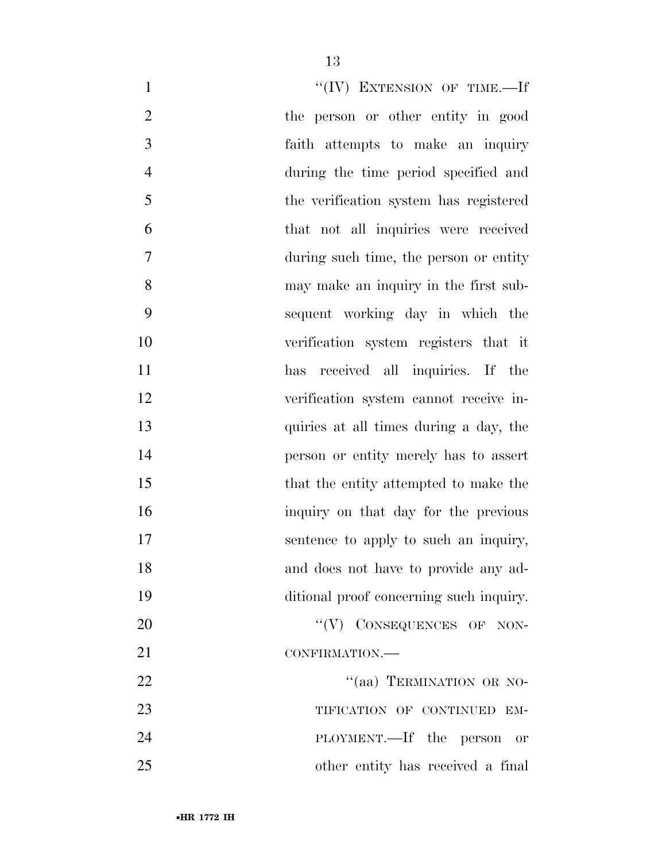| "(IV) EXTENSION OF TIME.-If<br>$\mathbf{1}$            |  |
|--------------------------------------------------------|--|
| $\overline{2}$<br>the person or other entity in good   |  |
| 3<br>faith attempts to make an inquiry                 |  |
| $\overline{4}$<br>during the time period specified and |  |
| 5<br>the verification system has registered            |  |
| 6<br>that not all inquiries were received              |  |
| 7<br>during such time, the person or entity            |  |
| 8<br>may make an inquiry in the first sub-             |  |
| 9<br>sequent working day in which the                  |  |
| 10<br>verification system registers that it            |  |
| 11<br>has received all inquiries. If the               |  |
| 12<br>verification system cannot receive in-           |  |
| 13<br>quiries at all times during a day, the           |  |
| 14<br>person or entity merely has to assert            |  |
| 15<br>that the entity attempted to make the            |  |
| 16<br>inquiry on that day for the previous             |  |
| 17<br>sentence to apply to such an inquiry,            |  |
| 18<br>and does not have to provide any ad-             |  |
| 19<br>ditional proof concerning such inquiry.          |  |
| "(V) CONSEQUENCES OF NON-<br>20                        |  |
| 21<br>CONFIRMATION.                                    |  |
| "(aa) TERMINATION OR NO-<br>22                         |  |
| 23<br>TIFICATION OF CONTINUED EM-                      |  |
| 24<br>PLOYMENT.—If the person or                       |  |
| 25<br>other entity has received a final                |  |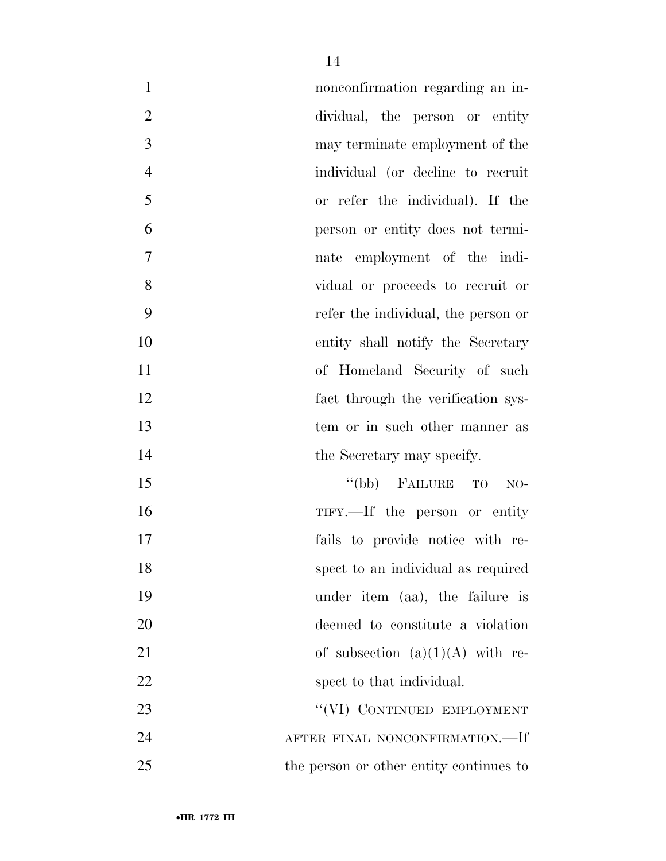| $\mathbf{1}$   | nonconfirmation regarding an in-        |
|----------------|-----------------------------------------|
| $\overline{2}$ | dividual, the person or entity          |
| 3              | may terminate employment of the         |
| $\overline{4}$ | individual (or decline to recruit       |
| 5              | or refer the individual). If the        |
| 6              | person or entity does not termi-        |
| $\tau$         | nate employment of the indi-            |
| 8              | vidual or proceeds to recruit or        |
| 9              | refer the individual, the person or     |
| 10             | entity shall notify the Secretary       |
| 11             | of Homeland Security of such            |
| 12             | fact through the verification sys-      |
| 13             | tem or in such other manner as          |
| 14             | the Secretary may specify.              |
| 15             | "(bb) FAILURE TO<br>$NO-$               |
| 16             | TIFY.—If the person or entity           |
| 17             | fails to provide notice with re-        |
| 18             | spect to an individual as required      |
| 19             | under item (aa), the failure is         |
| 20             | deemed to constitute a violation        |
| 21             | of subsection $(a)(1)(A)$ with re-      |
| 22             | spect to that individual.               |
| 23             | "(VI) CONTINUED EMPLOYMENT              |
| 24             | AFTER FINAL NONCONFIRMATION.—If         |
| 25             | the person or other entity continues to |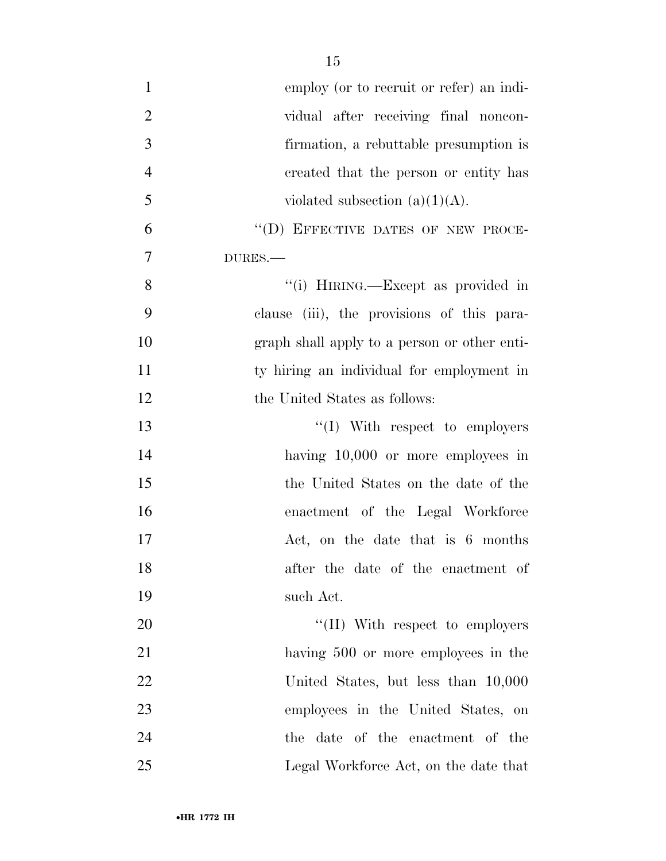| $\mathbf{1}$   | employ (or to recruit or refer) an indi-     |
|----------------|----------------------------------------------|
| $\overline{2}$ | vidual after receiving final noncon-         |
| 3              | firmation, a rebuttable presumption is       |
| $\overline{4}$ | created that the person or entity has        |
| 5              | violated subsection $(a)(1)(A)$ .            |
| 6              | "(D) EFFECTIVE DATES OF NEW PROCE-           |
| 7              | DURES.                                       |
| 8              | "(i) HIRING.—Except as provided in           |
| 9              | clause (iii), the provisions of this para-   |
| 10             | graph shall apply to a person or other enti- |
| 11             | ty hiring an individual for employment in    |
| 12             | the United States as follows:                |
| 13             | $\lq\lq$ (I) With respect to employers       |
| 14             | having $10,000$ or more employees in         |
| 15             | the United States on the date of the         |
| 16             | enactment of the Legal Workforce             |
| 17             | Act, on the date that is 6 months            |
| 18             | after the date of the enactment of           |
| 19             | such Act.                                    |
| 20             | $\lq\lq$ (II) With respect to employers      |
| 21             | having 500 or more employees in the          |
| 22             | United States, but less than 10,000          |
| 23             | employees in the United States, on           |
| 24             | the date of the enactment of the             |
| 25             | Legal Workforce Act, on the date that        |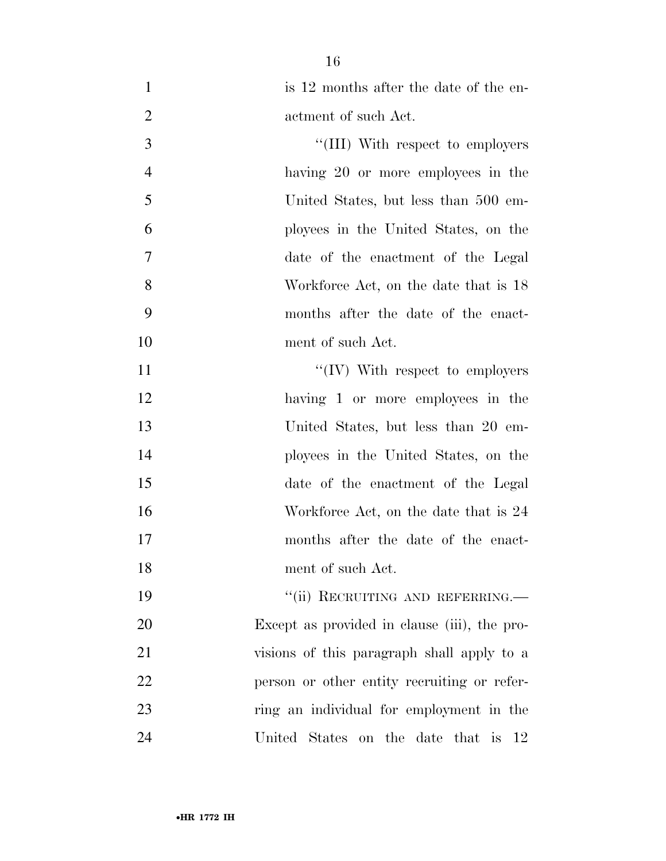| is 12 months after the date of the en- |
|----------------------------------------|
| actment of such Act.                   |
| "(III) With respect to employers       |

 having 20 or more employees in the United States, but less than 500 em- ployees in the United States, on the date of the enactment of the Legal Workforce Act, on the date that is 18 months after the date of the enact-ment of such Act.

 $\text{``(IV)}$  With respect to employers 12 having 1 or more employees in the United States, but less than 20 em- ployees in the United States, on the date of the enactment of the Legal 16 Workforce Act, on the date that is 24 months after the date of the enact-ment of such Act.

19 "'(ii) RECRUITING AND REFERRING. Except as provided in clause (iii), the pro- visions of this paragraph shall apply to a 22 person or other entity recruiting or refer- ring an individual for employment in the United States on the date that is 12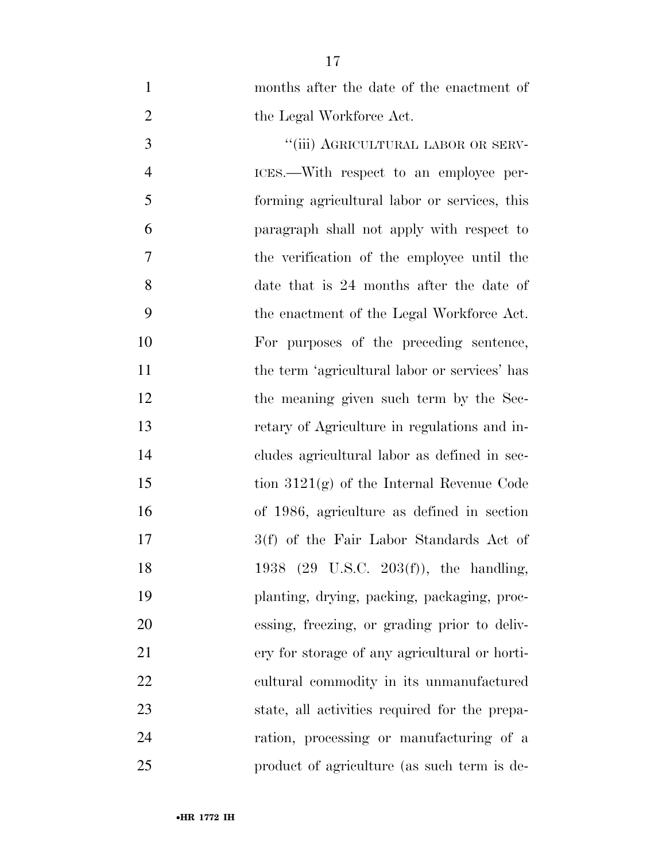| $\mathbf{1}$   | months after the date of the enactment of          |
|----------------|----------------------------------------------------|
| $\overline{2}$ | the Legal Workforce Act.                           |
| 3              | "(iii) AGRICULTURAL LABOR OR SERV-                 |
| $\overline{4}$ | ICES.—With respect to an employee per-             |
| 5              | forming agricultural labor or services, this       |
| 6              | paragraph shall not apply with respect to          |
| 7              | the verification of the employee until the         |
| 8              | date that is 24 months after the date of           |
| 9              | the enactment of the Legal Workforce Act.          |
| 10             | For purposes of the preceding sentence,            |
| 11             | the term 'agricultural labor or services' has      |
| 12             | the meaning given such term by the Sec-            |
| 13             | retary of Agriculture in regulations and in-       |
| 14             | cludes agricultural labor as defined in sec-       |
| 15             | tion $3121(g)$ of the Internal Revenue Code        |
| 16             | of 1986, agriculture as defined in section         |
| 17             | 3(f) of the Fair Labor Standards Act of            |
| 18             | 1938 $(29 \text{ U.S.C. } 203(f))$ , the handling, |
| 19             | planting, drying, packing, packaging, proc-        |
| 20             | essing, freezing, or grading prior to deliv-       |
| 21             | ery for storage of any agricultural or horti-      |
| 22             | cultural commodity in its unmanufactured           |
| 23             | state, all activities required for the prepa-      |
| 24             | ration, processing or manufacturing of a           |
| 25             | product of agriculture (as such term is de-        |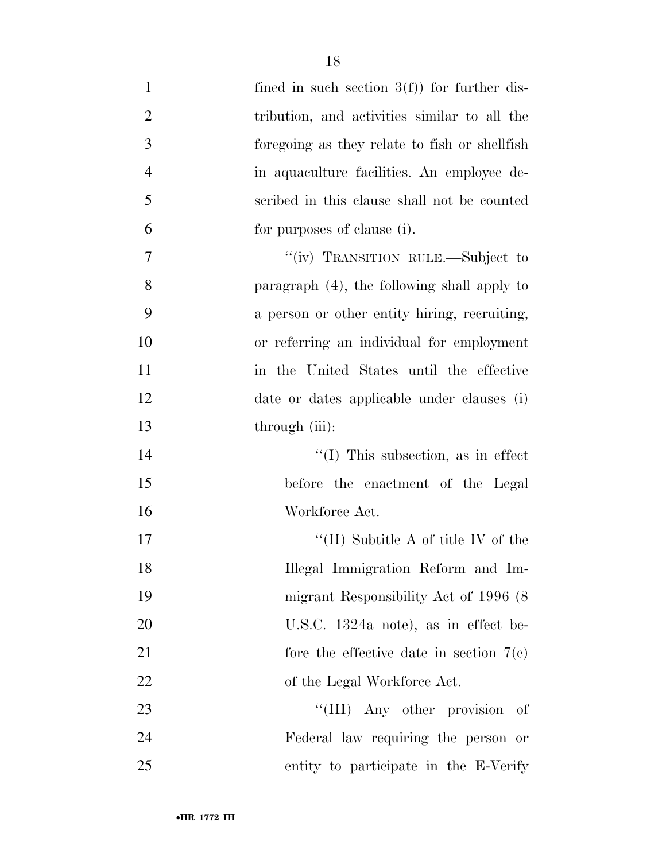| $\mathbf{1}$   | fined in such section $3(f)$ for further dis-  |
|----------------|------------------------------------------------|
| $\overline{2}$ | tribution, and activities similar to all the   |
| 3              | foregoing as they relate to fish or shell fish |
| $\overline{4}$ | in aquaculture facilities. An employee de-     |
| 5              | scribed in this clause shall not be counted    |
| 6              | for purposes of clause (i).                    |
| 7              | "(iv) TRANSITION RULE.—Subject to              |
| 8              | paragraph (4), the following shall apply to    |
| 9              | a person or other entity hiring, recruiting,   |
| 10             | or referring an individual for employment      |
| 11             | in the United States until the effective       |
| 12             | date or dates applicable under clauses (i)     |
| 13             | through (iii):                                 |
| 14             | $\lq\lq$ (I) This subsection, as in effect     |
| 15             | before the enactment of the Legal              |
| 16             | Workforce Act.                                 |
| 17             | "(II) Subtitle A of title IV of the            |
| 18             | Illegal Immigration Reform and Im-             |
| 19             | migrant Responsibility Act of 1996 (8)         |
| 20             | U.S.C. $1324a$ note), as in effect be-         |
| 21             | fore the effective date in section $7(e)$      |
| 22             | of the Legal Workforce Act.                    |
| 23             | "(III) Any other provision<br>of               |
| 24             | Federal law requiring the person or            |
| 25             | entity to participate in the E-Verify          |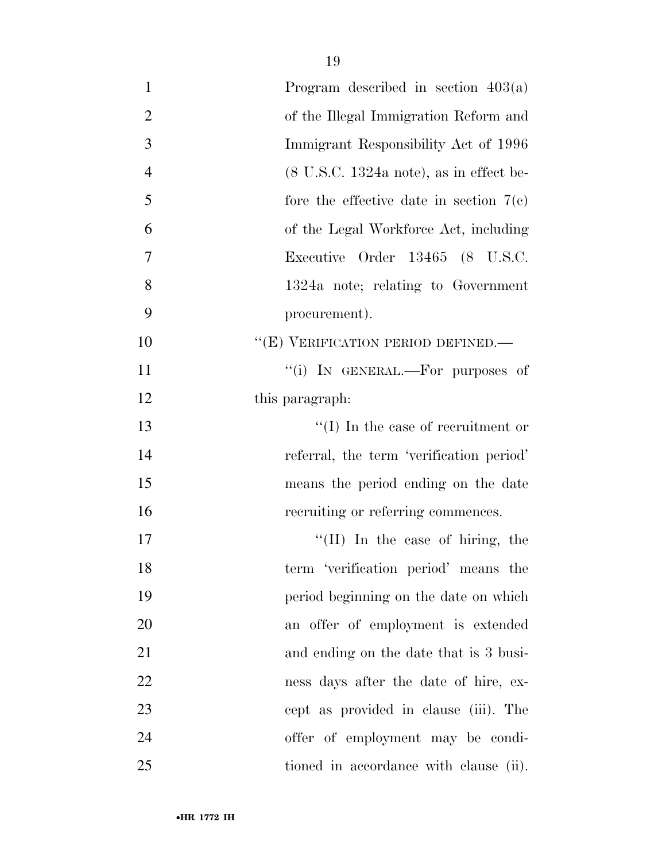| $\mathbf{1}$<br>Program described in section $403(a)$                         |
|-------------------------------------------------------------------------------|
|                                                                               |
| $\overline{2}$<br>of the Illegal Immigration Reform and                       |
| 3<br>Immigrant Responsibility Act of 1996                                     |
| $\overline{4}$<br>$(8 \text{ U.S.C. } 1324a \text{ note})$ , as in effect be- |
| 5<br>fore the effective date in section $7(e)$                                |
| 6<br>of the Legal Workforce Act, including                                    |
| 7<br>Executive Order 13465 (8 U.S.C.                                          |
| 8<br>1324a note; relating to Government                                       |
| 9<br>procurement).                                                            |
| "(E) VERIFICATION PERIOD DEFINED.—<br>10                                      |
| 11<br>"(i) IN GENERAL.—For purposes of                                        |
| 12<br>this paragraph:                                                         |
| $\lq\lq$ (I) In the case of recruitment or<br>13                              |
| 14<br>referral, the term 'verification period'                                |
| 15<br>means the period ending on the date                                     |
| 16<br>recruiting or referring commences.                                      |
| 17<br>"(II) In the case of hiring, the                                        |
| 18<br>term 'verification period' means the                                    |
| 19<br>period beginning on the date on which                                   |
| 20<br>an offer of employment is extended                                      |
| 21<br>and ending on the date that is 3 busi-                                  |
| 22<br>ness days after the date of hire, ex-                                   |
| 23<br>cept as provided in clause (iii). The                                   |
| 24<br>offer of employment may be condi-                                       |
| 25<br>tioned in accordance with clause (ii).                                  |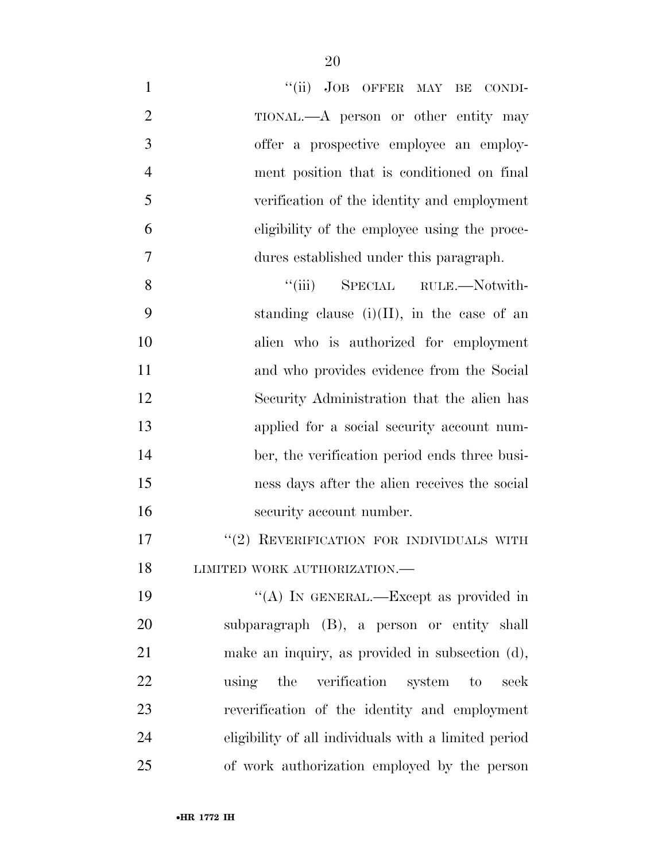| $\mathbf{1}$   | "(ii) JOB OFFER MAY BE CONDI-                        |
|----------------|------------------------------------------------------|
| $\overline{2}$ | TIONAL.—A person or other entity may                 |
| 3              | offer a prospective employee an employ-              |
| $\overline{4}$ | ment position that is conditioned on final           |
| 5              | verification of the identity and employment          |
| 6              | eligibility of the employee using the proce-         |
| 7              | dures established under this paragraph.              |
| 8              | ``(iii)<br>SPECIAL RULE.—Notwith-                    |
| 9              | standing clause $(i)(II)$ , in the case of an        |
| 10             | alien who is authorized for employment               |
| 11             | and who provides evidence from the Social            |
| 12             | Security Administration that the alien has           |
| 13             | applied for a social security account num-           |
| 14             | ber, the verification period ends three busi-        |
| 15             | ness days after the alien receives the social        |
| 16             | security account number.                             |
| 17             | "(2) REVERIFICATION FOR INDIVIDUALS WITH             |
| 18             | LIMITED WORK AUTHORIZATION.-                         |
| 19             | "(A) IN GENERAL.—Except as provided in               |
| 20             | subparagraph (B), a person or entity shall           |
| 21             | make an inquiry, as provided in subsection (d),      |
| 22             | using the verification system to<br>seek             |
| 23             | reverification of the identity and employment        |
| 24             | eligibility of all individuals with a limited period |
| 25             | of work authorization employed by the person         |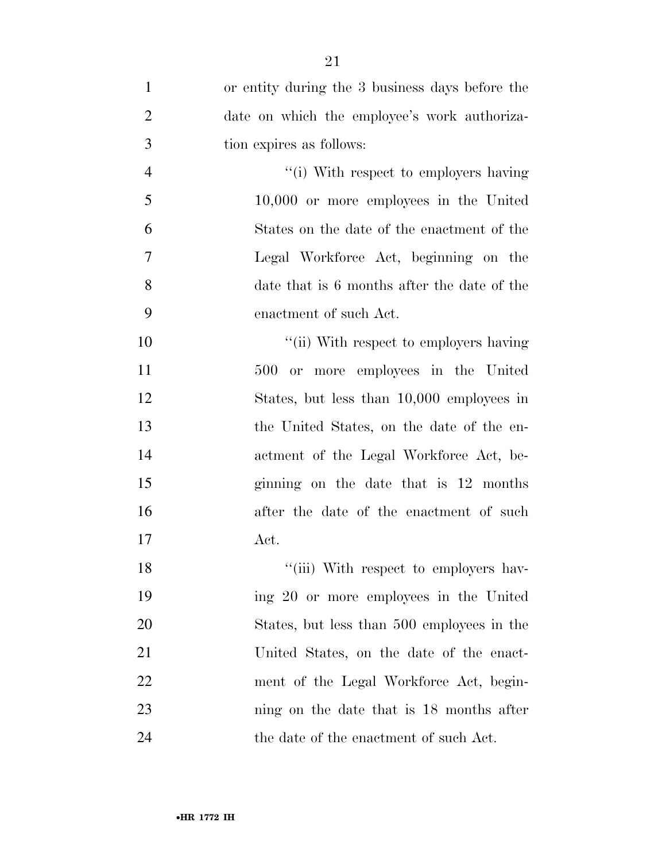| $\mathbf{1}$   | or entity during the 3 business days before the |
|----------------|-------------------------------------------------|
| $\overline{2}$ | date on which the employee's work authoriza-    |
| 3              | tion expires as follows:                        |
| $\overline{4}$ | "(i) With respect to employers having           |
| 5              | $10,000$ or more employees in the United        |
| 6              | States on the date of the enactment of the      |
| 7              | Legal Workforce Act, beginning on the           |
| 8              | date that is 6 months after the date of the     |
| 9              | enactment of such Act.                          |
| 10             | "(ii) With respect to employers having          |
| 11             | 500 or more employees in the United             |
| 12             | States, but less than 10,000 employees in       |
| 13             | the United States, on the date of the en-       |
| 14             | actment of the Legal Workforce Act, be-         |
| 15             | ginning on the date that is 12 months           |
| 16             | after the date of the enactment of such         |
| 17             | Act.                                            |
| 18             | "(iii) With respect to employers hav-           |
| 19             | ing 20 or more employees in the United          |
| 20             | States, but less than 500 employees in the      |
| 21             | United States, on the date of the enact-        |
| 22             | ment of the Legal Workforce Act, begin-         |
| 23             | ning on the date that is 18 months after        |
| 24             | the date of the enactment of such Act.          |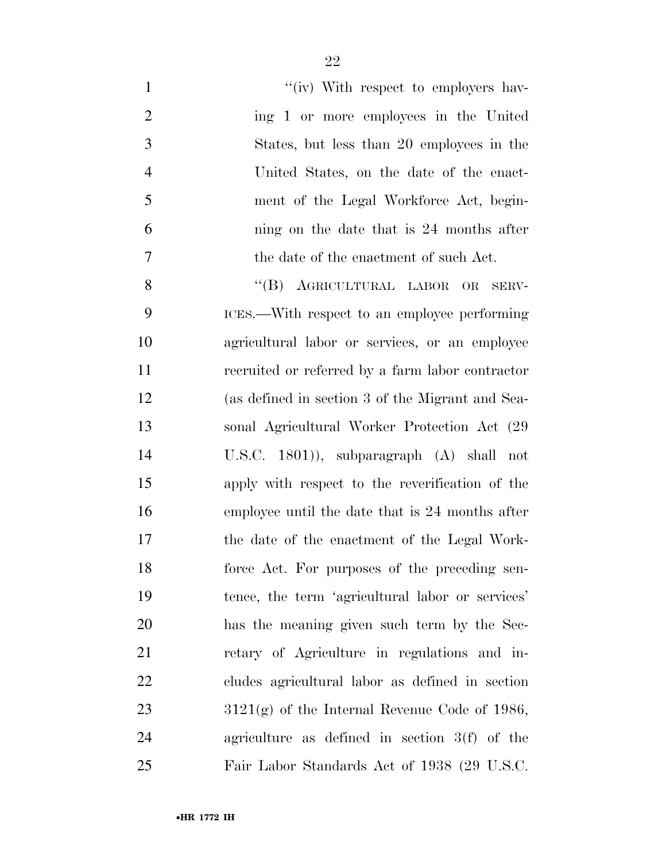| $\mathbf{1}$   | "(iv) With respect to employers hav-             |
|----------------|--------------------------------------------------|
| $\overline{2}$ | ing 1 or more employees in the United            |
| 3              | States, but less than 20 employees in the        |
| $\overline{4}$ | United States, on the date of the enact-         |
| 5              | ment of the Legal Workforce Act, begin-          |
| 6              | ning on the date that is 24 months after         |
| $\tau$         | the date of the enactment of such Act.           |
| 8              | "(B) AGRICULTURAL LABOR OR<br>SERV-              |
| 9              | ICES.—With respect to an employee performing     |
| 10             | agricultural labor or services, or an employee   |
| 11             | recruited or referred by a farm labor contractor |
| 12             | (as defined in section 3 of the Migrant and Sea- |
| 13             | sonal Agricultural Worker Protection Act (29)    |
| 14             | U.S.C. $1801$ ), subparagraph $(A)$ shall not    |
| 15             | apply with respect to the reverification of the  |
| 16             | employee until the date that is 24 months after  |
| 17             | the date of the enactment of the Legal Work-     |
| 18             | force Act. For purposes of the preceding sen-    |
| 19             | tence, the term 'agricultural labor or services' |
| 20             | has the meaning given such term by the Sec-      |
| 21             | retary of Agriculture in regulations and in-     |
| 22             | cludes agricultural labor as defined in section  |
| 23             | $3121(g)$ of the Internal Revenue Code of 1986,  |
| 24             | agriculture as defined in section $3(f)$ of the  |
| 25             | Fair Labor Standards Act of 1938 (29 U.S.C.      |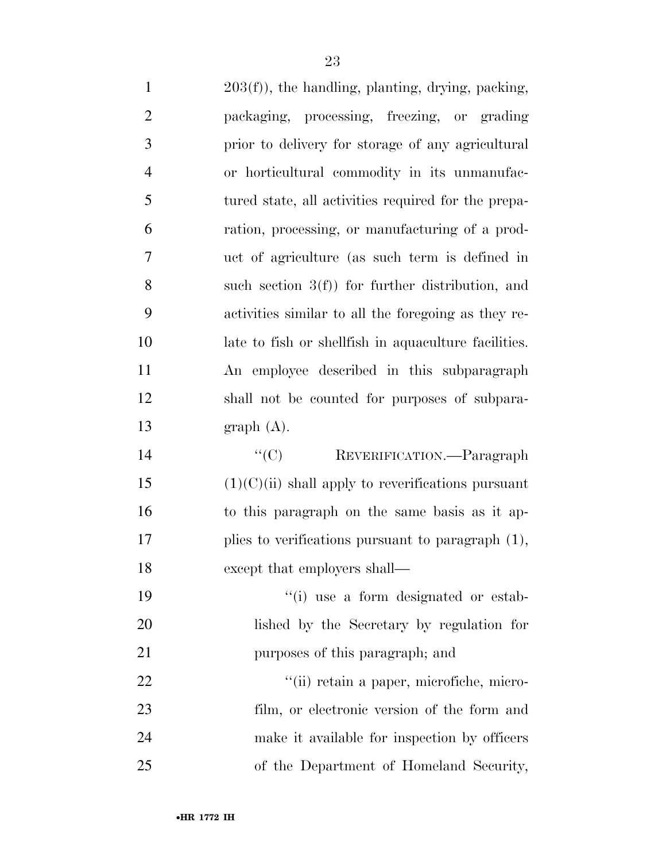| $\mathbf{1}$   | $203(f)$ , the handling, planting, drying, packing,   |
|----------------|-------------------------------------------------------|
| $\overline{2}$ | packaging, processing, freezing, or grading           |
| 3              | prior to delivery for storage of any agricultural     |
| $\overline{4}$ | or horticultural commodity in its unmanufac-          |
| 5              | tured state, all activities required for the prepa-   |
| 6              | ration, processing, or manufacturing of a prod-       |
| 7              | uct of agriculture (as such term is defined in        |
| 8              | such section $3(f)$ for further distribution, and     |
| 9              | activities similar to all the foregoing as they re-   |
| 10             | late to fish or shell fish in aquaculture facilities. |
| 11             | An employee described in this subparagraph            |
| 12             | shall not be counted for purposes of subpara-         |
| 13             | graph(A).                                             |
| 14             | ``(C)<br>REVERIFICATION.—Paragraph                    |
| 15             | $(1)(C)(ii)$ shall apply to reverifications pursuant  |
| 16             | to this paragraph on the same basis as it ap-         |
| 17             | plies to verifications pursuant to paragraph $(1)$ ,  |
| 18             | except that employers shall—                          |
| 19             | "(i) use a form designated or estab-                  |
| 20             | lished by the Secretary by regulation for             |
| 21             | purposes of this paragraph; and                       |
| 22             | "(ii) retain a paper, microfiche, micro-              |
| 23             | film, or electronic version of the form and           |

 make it available for inspection by officers of the Department of Homeland Security,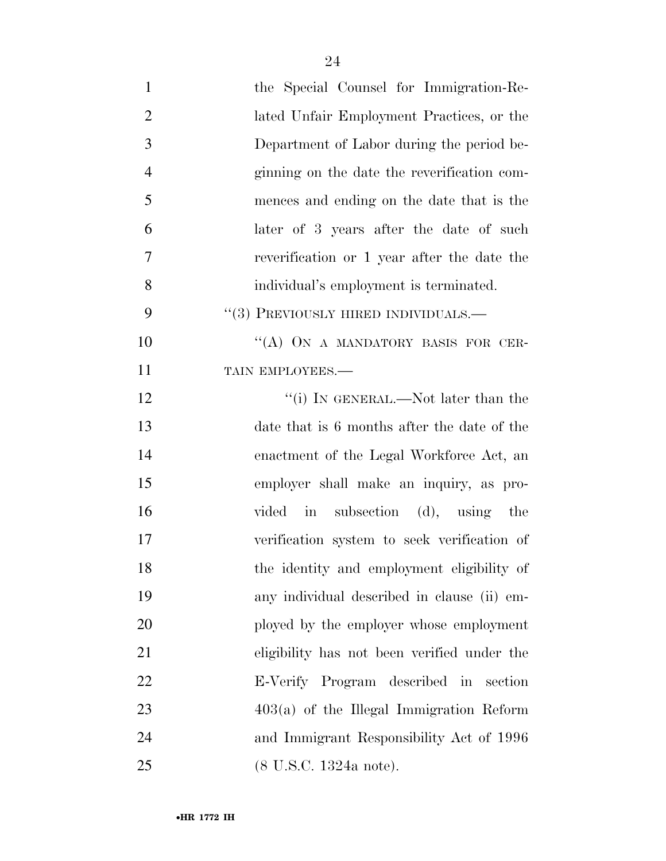| $\mathbf{1}$   | the Special Counsel for Immigration-Re-     |
|----------------|---------------------------------------------|
| $\overline{2}$ | lated Unfair Employment Practices, or the   |
| 3              | Department of Labor during the period be-   |
| $\overline{4}$ | ginning on the date the reverification com- |
| 5              | mences and ending on the date that is the   |
| 6              | later of 3 years after the date of such     |
| 7              | reverification or 1 year after the date the |
| 8              | individual's employment is terminated.      |
| 9              | $``(3)$ PREVIOUSLY HIRED INDIVIDUALS.—      |
| 10             | "(A) ON A MANDATORY BASIS FOR CER-          |
| 11             | TAIN EMPLOYEES.-                            |
| 12             | "(i) IN GENERAL.—Not later than the         |
| 13             | date that is 6 months after the date of the |
| 14             | enactment of the Legal Workforce Act, an    |
| 15             | employer shall make an inquiry, as pro-     |
| 16             | vided in subsection (d), using the          |
| 17             | verification system to seek verification of |
| 18             | the identity and employment eligibility of  |
| 19             | any individual described in clause (ii) em- |
| 20             | ployed by the employer whose employment     |
| 21             | eligibility has not been verified under the |
| 22             | E-Verify Program described in section       |
| 23             | $403(a)$ of the Illegal Immigration Reform  |
| 24             | and Immigrant Responsibility Act of 1996    |
| 25             | $(8 \text{ U.S.C. } 1324a \text{ note}).$   |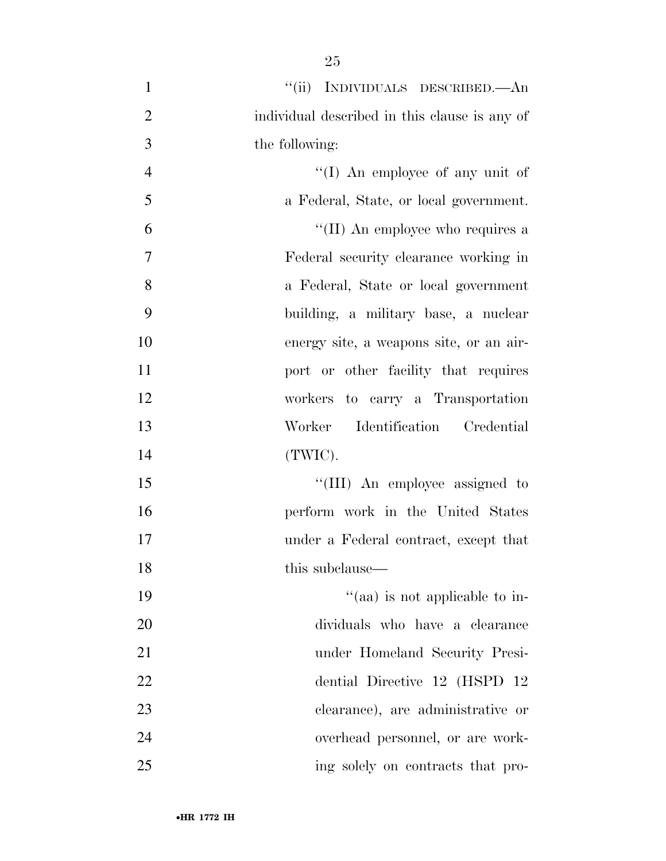- 1 "(ii) INDIVIDUALS DESCRIBED.—An individual described in this clause is any of the following: 4 ''(I) An employee of any unit of a Federal, State, or local government. 6  $\frac{1}{\text{Im}} \ln \text{Im} \ln \text{Im} \ln \text{Im} \ln \text{Im} \ln \text{Im} \ln \text{Im} \ln \text{Im} \ln \text{Im} \ln \text{Im} \ln \text{Im} \ln \text{Im} \ln \text{Im} \ln \text{Im} \ln \text{Im} \ln \text{Im} \ln \text{Im} \ln \text{Im} \ln \text{Im} \ln \text{Im} \ln \text{Im} \ln \text{Im} \ln \text{Im} \ln \text{Im} \ln \text{Im} \ln \ln \text{Im} \ln \ln \ln \ln \ln \ln \ln \ln \ln \ln \ln \ln \ln \ln \ln \ln$  Federal security clearance working in a Federal, State or local government building, a military base, a nuclear energy site, a weapons site, or an air-**port or other facility that requires**  workers to carry a Transportation Worker Identification Credential (TWIC). 15  $\frac{15}{15}$  The mployee assigned to perform work in the United States under a Federal contract, except that 18 this subclause— 19  $\frac{1}{2}$  aa) is not applicable to in- dividuals who have a clearance under Homeland Security Presi-dential Directive 12 (HSPD 12
- clearance), are administrative or overhead personnel, or are work-ing solely on contracts that pro-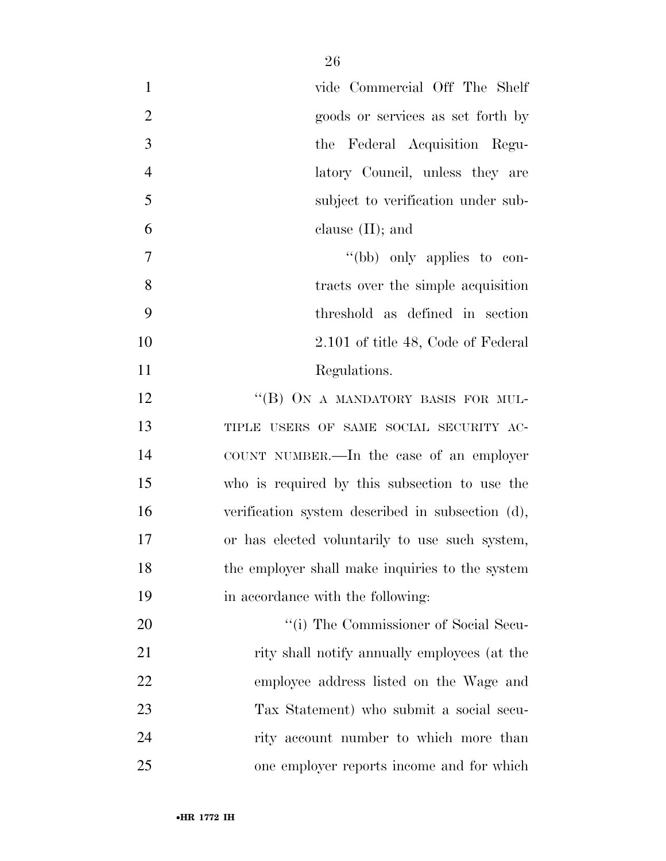| $\mathbf{1}$   | vide Commercial Off The Shelf                    |
|----------------|--------------------------------------------------|
| $\overline{2}$ | goods or services as set forth by                |
| 3              | the Federal Acquisition Regu-                    |
| $\overline{4}$ | latory Council, unless they are                  |
| 5              | subject to verification under sub-               |
| 6              | clause $(II)$ ; and                              |
| $\overline{7}$ | "(bb) only applies to con-                       |
| 8              | tracts over the simple acquisition               |
| 9              | threshold as defined in section                  |
| 10             | 2.101 of title 48, Code of Federal               |
| 11             | Regulations.                                     |
| 12             | "(B) ON A MANDATORY BASIS FOR MUL-               |
| 13             | TIPLE USERS OF SAME SOCIAL SECURITY AC-          |
| 14             | COUNT NUMBER.—In the case of an employer         |
| 15             | who is required by this subsection to use the    |
| 16             | verification system described in subsection (d), |
| 17             | or has elected voluntarily to use such system,   |
| 18             | the employer shall make inquiries to the system  |
| 19             | in accordance with the following:                |
| 20             | "(i) The Commissioner of Social Secu-            |
| 21             | rity shall notify annually employees (at the     |
| 22             | employee address listed on the Wage and          |
| 23             | Tax Statement) who submit a social secu-         |
| 24             | rity account number to which more than           |
| 25             | one employer reports income and for which        |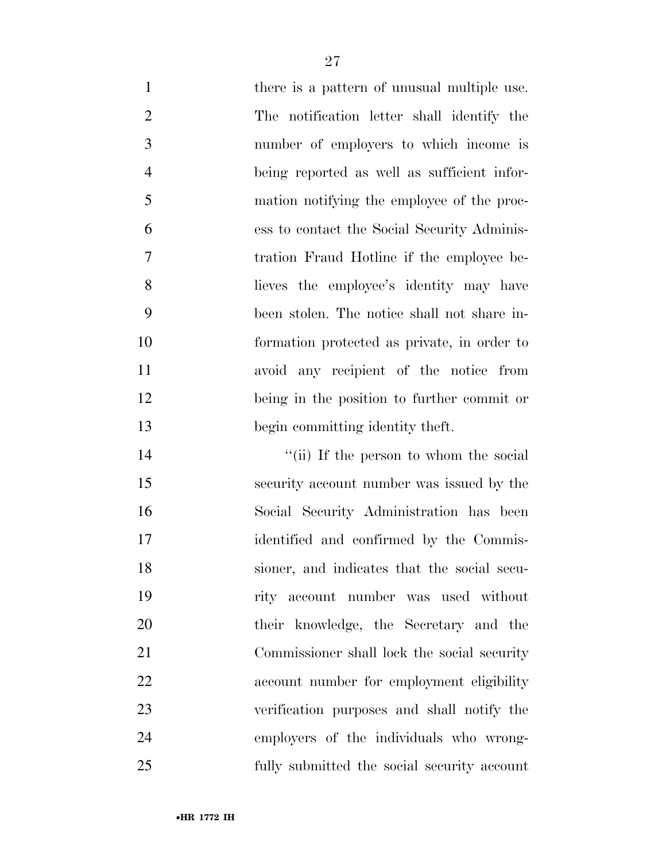| $\mathbf{1}$   | there is a pattern of unusual multiple use. |
|----------------|---------------------------------------------|
| $\overline{2}$ | The notification letter shall identify the  |
| 3              | number of employers to which income is      |
| $\overline{4}$ | being reported as well as sufficient infor- |
| 5              | mation notifying the employee of the proc-  |
| 6              | ess to contact the Social Security Adminis- |
| $\tau$         | tration Fraud Hotline if the employee be-   |
| 8              | lieves the employee's identity may have     |
| 9              | been stolen. The notice shall not share in- |
| 10             | formation protected as private, in order to |
| 11             | avoid any recipient of the notice from      |
| 12             | being in the position to further commit or  |
| 13             | begin committing identity theft.            |
| 14             | "(ii) If the person to whom the social      |
| 15             | security account number was issued by the   |
| 16             |                                             |
|                | Social Security Administration has been     |
| 17             | identified and confirmed by the Commis-     |
| 18             | sioner, and indicates that the social secu- |
| 19             | rity account number was used without        |
| 20             | their knowledge, the Secretary and the      |
| 21             | Commissioner shall lock the social security |
| 22             | account number for employment eligibility   |
| 23             | verification purposes and shall notify the  |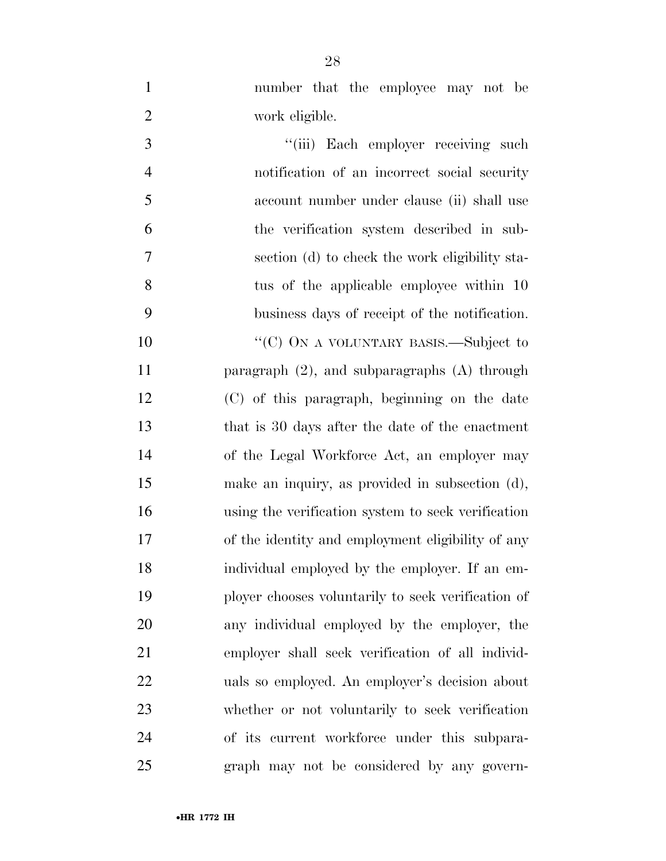number that the employee may not be

work eligible.

| 3              | "(iii) Each employer receiving such                |
|----------------|----------------------------------------------------|
| $\overline{4}$ | notification of an incorrect social security       |
| 5              | account number under clause (ii) shall use         |
| 6              | the verification system described in sub-          |
| $\overline{7}$ | section (d) to check the work eligibility sta-     |
| 8              | tus of the applicable employee within 10           |
| 9              | business days of receipt of the notification.      |
| 10             | "(C) ON A VOLUNTARY BASIS.—Subject to              |
| 11             | paragraph $(2)$ , and subparagraphs $(A)$ through  |
| 12             | (C) of this paragraph, beginning on the date       |
| 13             | that is 30 days after the date of the enactment    |
| 14             | of the Legal Workforce Act, an employer may        |
| 15             | make an inquiry, as provided in subsection (d),    |
| 16             | using the verification system to seek verification |
| 17             | of the identity and employment eligibility of any  |
| 18             | individual employed by the employer. If an em-     |
| 19             | ployer chooses voluntarily to seek verification of |
| 20             | any individual employed by the employer, the       |
| 21             | employer shall seek verification of all individ-   |
| 22             | uals so employed. An employer's decision about     |
| 23             | whether or not voluntarily to seek verification    |
| 24             | of its current workforce under this subpara-       |
| 25             | graph may not be considered by any govern-         |
|                |                                                    |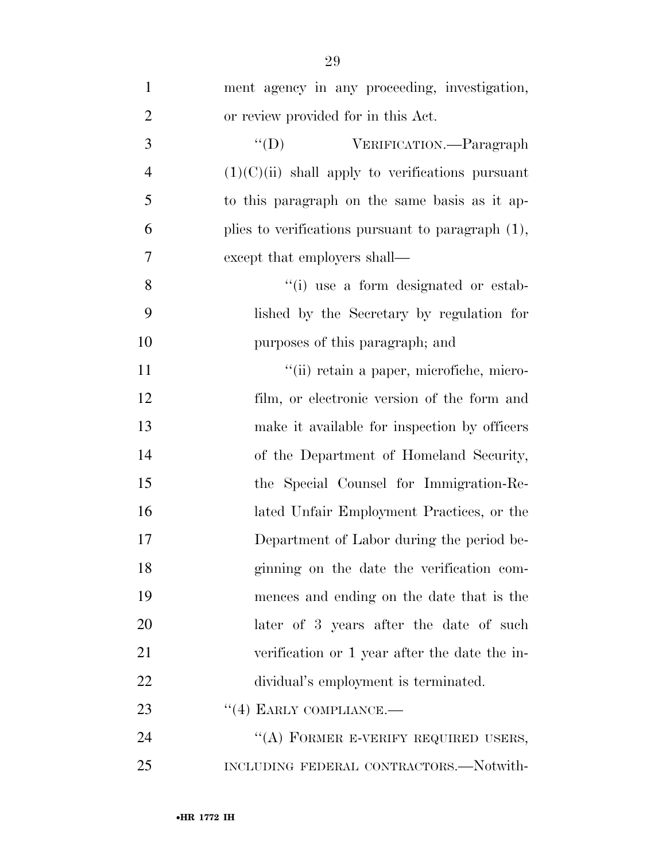| $\mathbf{1}$   | ment agency in any proceeding, investigation,        |
|----------------|------------------------------------------------------|
| $\overline{2}$ | or review provided for in this Act.                  |
| 3              | $\lq\lq (D)$<br>VERIFICATION. - Paragraph            |
| $\overline{4}$ | $(1)(C)(ii)$ shall apply to verifications pursuant   |
| 5              | to this paragraph on the same basis as it ap-        |
| 6              | plies to verifications pursuant to paragraph $(1)$ , |
| 7              | except that employers shall—                         |
| 8              | "(i) use a form designated or estab-                 |
| 9              | lished by the Secretary by regulation for            |
| 10             | purposes of this paragraph; and                      |
| 11             | "(ii) retain a paper, microfiche, micro-             |
| 12             | film, or electronic version of the form and          |
| 13             | make it available for inspection by officers         |
| 14             | of the Department of Homeland Security,              |
| 15             | the Special Counsel for Immigration-Re-              |
| 16             | lated Unfair Employment Practices, or the            |
| 17             | Department of Labor during the period be-            |
| 18             | ginning on the date the verification com-            |
| 19             | mences and ending on the date that is the            |
| 20             | later of 3 years after the date of such              |
| 21             | verification or 1 year after the date the in-        |
| 22             | dividual's employment is terminated.                 |
| 23             | $``(4)$ EARLY COMPLIANCE.—                           |
| 24             | "(A) FORMER E-VERIFY REQUIRED USERS,                 |
| 25             | INCLUDING FEDERAL CONTRACTORS.-Notwith-              |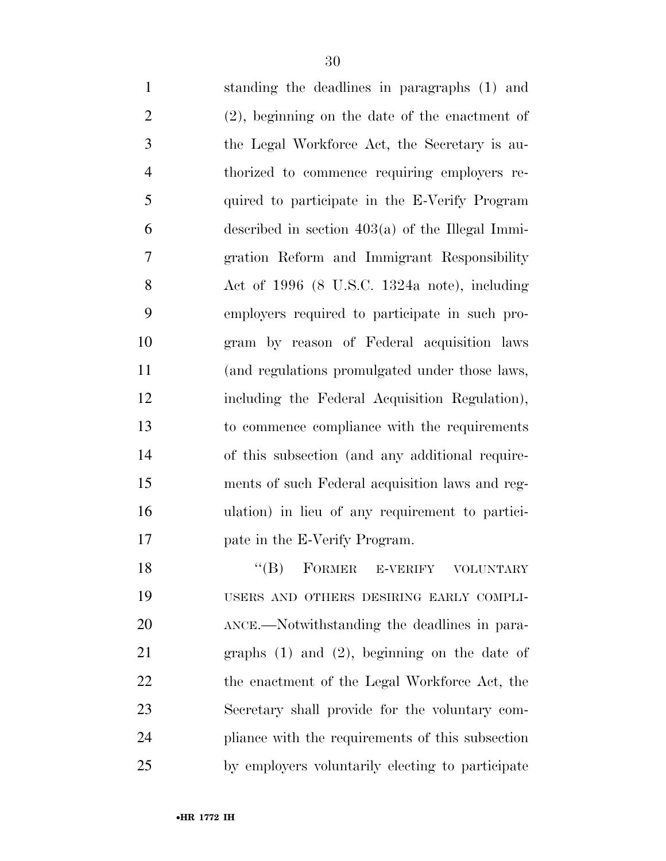| $\mathbf{1}$   | standing the deadlines in paragraphs (1) and         |
|----------------|------------------------------------------------------|
| $\overline{2}$ | $(2)$ , beginning on the date of the enactment of    |
| 3              | the Legal Workforce Act, the Secretary is au-        |
| $\overline{4}$ | thorized to commence requiring employers re-         |
| 5              | quired to participate in the E-Verify Program        |
| 6              | described in section $403(a)$ of the Illegal Immi-   |
| $\overline{7}$ | gration Reform and Immigrant Responsibility          |
| 8              | Act of 1996 (8 U.S.C. 1324a note), including         |
| 9              | employers required to participate in such pro-       |
| 10             | gram by reason of Federal acquisition laws           |
| 11             | (and regulations promulgated under those laws,       |
| 12             | including the Federal Acquisition Regulation),       |
| 13             | to commence compliance with the requirements         |
| 14             | of this subsection (and any additional require-      |
| 15             | ments of such Federal acquisition laws and reg-      |
| 16             | ulation) in lieu of any requirement to partici-      |
| 17             | pate in the E-Verify Program.                        |
| 18             | $``(B)$ FORMER E-VERIFY VOLUNTARY                    |
| 19             | USERS AND OTHERS DESIRING EARLY COMPLI-              |
| 20             | ANCE.—Notwithstanding the deadlines in para-         |
| 21             | $\alpha$ events (1) and (9) beginning on the data of |

 graphs (1) and (2), beginning on the date of 22 the enactment of the Legal Workforce Act, the Secretary shall provide for the voluntary com- pliance with the requirements of this subsection by employers voluntarily electing to participate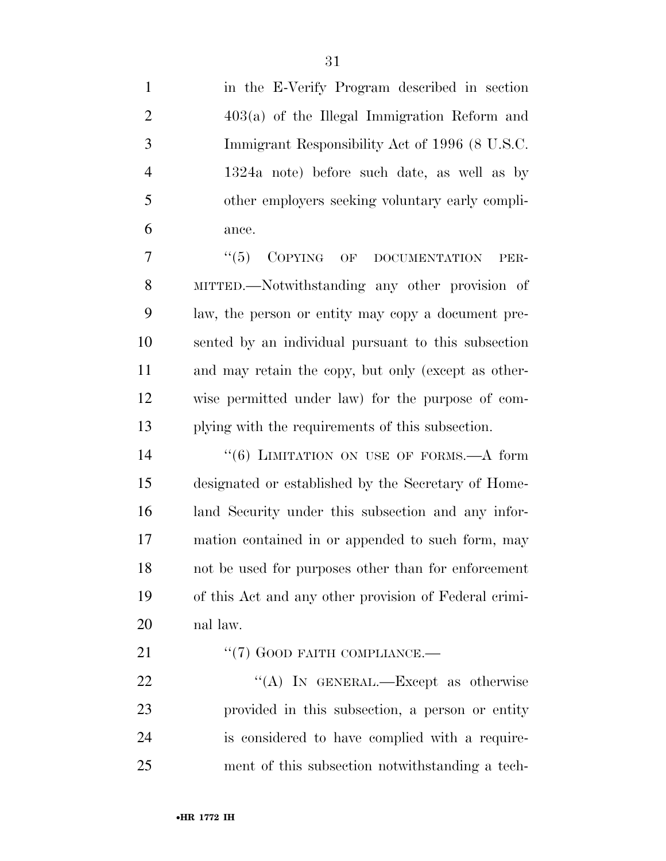in the E-Verify Program described in section 403(a) of the Illegal Immigration Reform and Immigrant Responsibility Act of 1996 (8 U.S.C. 1324a note) before such date, as well as by other employers seeking voluntary early compli-ance.

7 "(5) COPYING OF DOCUMENTATION PER- MITTED.—Notwithstanding any other provision of law, the person or entity may copy a document pre- sented by an individual pursuant to this subsection and may retain the copy, but only (except as other- wise permitted under law) for the purpose of com-plying with the requirements of this subsection.

14 "(6) LIMITATION ON USE OF FORMS.—A form designated or established by the Secretary of Home- land Security under this subsection and any infor- mation contained in or appended to such form, may not be used for purposes other than for enforcement of this Act and any other provision of Federal crimi-nal law.

21 "(7) GOOD FAITH COMPLIANCE.—

22 "(A) In GENERAL.—Except as otherwise provided in this subsection, a person or entity is considered to have complied with a require-ment of this subsection notwithstanding a tech-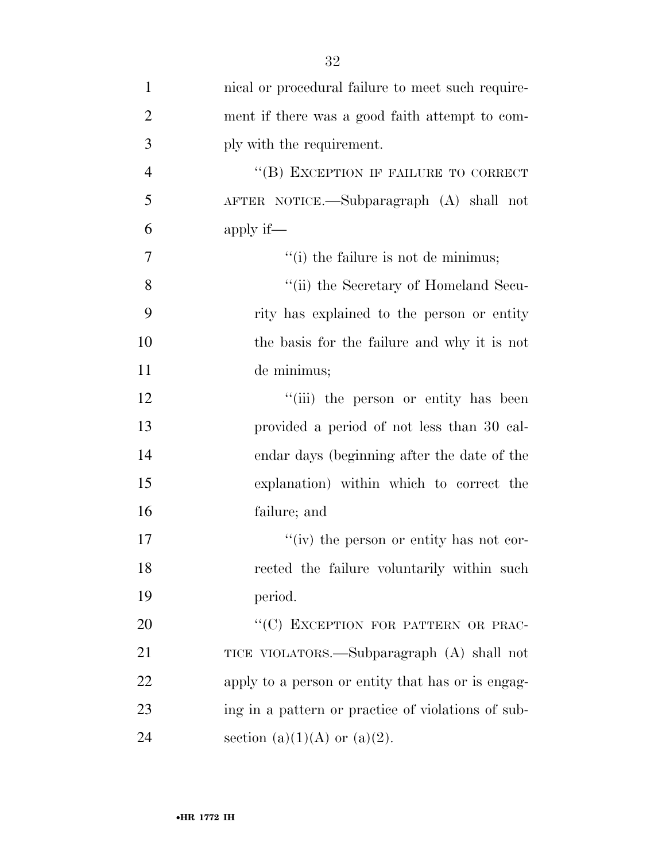| $\mathbf{1}$   | nical or procedural failure to meet such require-  |
|----------------|----------------------------------------------------|
| $\overline{2}$ | ment if there was a good faith attempt to com-     |
| 3              | ply with the requirement.                          |
| $\overline{4}$ | "(B) EXCEPTION IF FAILURE TO CORRECT               |
| 5              | AFTER NOTICE.—Subparagraph (A) shall not           |
| 6              | apply if—                                          |
| 7              | $f'(i)$ the failure is not de minimus;             |
| 8              | "(ii) the Secretary of Homeland Secu-              |
| 9              | rity has explained to the person or entity         |
| 10             | the basis for the failure and why it is not        |
| 11             | de minimus;                                        |
| 12             | "(iii) the person or entity has been               |
| 13             | provided a period of not less than 30 cal-         |
| 14             | endar days (beginning after the date of the        |
| 15             | explanation) within which to correct the           |
| 16             | failure; and                                       |
| 17             | "(iv) the person or entity has not cor-            |
| 18             | rected the failure voluntarily within such         |
| 19             | period.                                            |
| 20             | "(C) EXCEPTION FOR PATTERN OR PRAC-                |
| 21             | TICE VIOLATORS.—Subparagraph (A) shall not         |
| 22             | apply to a person or entity that has or is engag-  |
| 23             | ing in a pattern or practice of violations of sub- |
| 24             | section (a)(1)(A) or (a)(2).                       |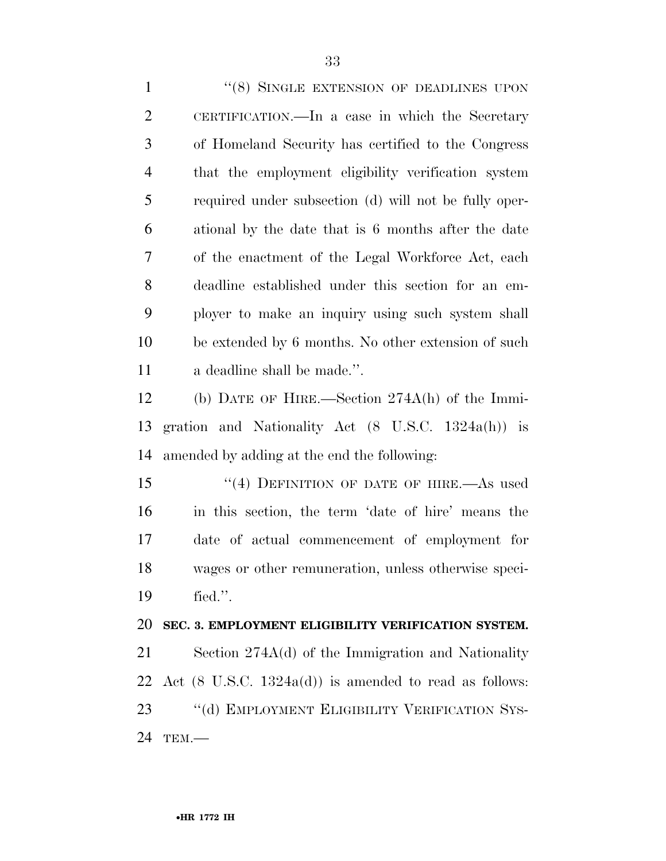1 "(8) SINGLE EXTENSION OF DEADLINES UPON CERTIFICATION.—In a case in which the Secretary of Homeland Security has certified to the Congress that the employment eligibility verification system required under subsection (d) will not be fully oper- ational by the date that is 6 months after the date of the enactment of the Legal Workforce Act, each deadline established under this section for an em- ployer to make an inquiry using such system shall be extended by 6 months. No other extension of such a deadline shall be made.''.

 (b) DATE OF HIRE.—Section 274A(h) of the Immi- gration and Nationality Act (8 U.S.C. 1324a(h)) is amended by adding at the end the following:

15 "(4) DEFINITION OF DATE OF HIRE.—As used in this section, the term 'date of hire' means the date of actual commencement of employment for wages or other remuneration, unless otherwise speci-fied.''.

#### **SEC. 3. EMPLOYMENT ELIGIBILITY VERIFICATION SYSTEM.**

 Section 274A(d) of the Immigration and Nationality 22 Act  $(8 \text{ U.S.C. } 1324a(d))$  is amended to read as follows: 23 "(d) EMPLOYMENT ELIGIBILITY VERIFICATION SYS-TEM.—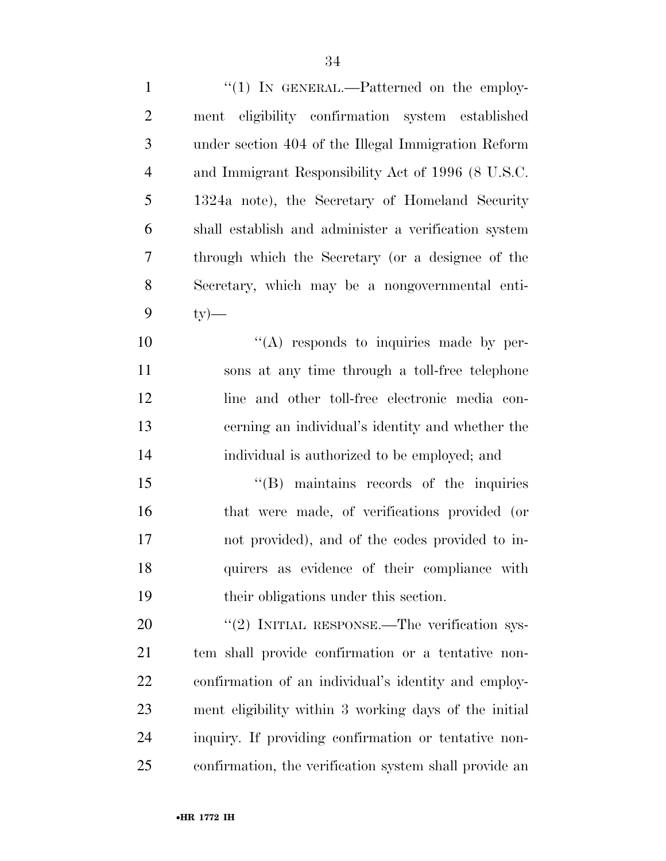| $\mathbf{1}$ | " $(1)$ IN GENERAL.—Patterned on the employ-           |
|--------------|--------------------------------------------------------|
| $\mathbf{2}$ | ment eligibility confirmation system established       |
| 3            | under section 404 of the Illegal Immigration Reform    |
| 4            | and Immigrant Responsibility Act of 1996 (8 U.S.C.     |
| 5            | 1324a note), the Secretary of Homeland Security        |
| 6            | shall establish and administer a verification system   |
| 7            | through which the Secretary (or a designee of the      |
| 8            | Secretary, which may be a nongovernmental enti-        |
| 9            | $ty)$ —                                                |
| 10           | $\lq\lq$ responds to inquiries made by per-            |
| 11           | sons at any time through a toll-free telephone         |
| 12           | line and other toll-free electronic media con-         |
| 13           | cerning an individual's identity and whether the       |
| 14           | individual is authorized to be employed; and           |
| 15           | "(B) maintains records of the inquiries                |
| 16           | that were made, of verifications provided (or          |
| 17           | not provided), and of the codes provided to in-        |
| 18           | quirers as evidence of their compliance with           |
| 19           | their obligations under this section.                  |
| 20           | $\lq(2)$ INITIAL RESPONSE.—The verification sys-       |
| 21           | tem shall provide confirmation or a tentative non-     |
| 22           | confirmation of an individual's identity and employ-   |
| 23           | ment eligibility within 3 working days of the initial  |
| 24           | inquiry. If providing confirmation or tentative non-   |
| 25           | confirmation, the verification system shall provide an |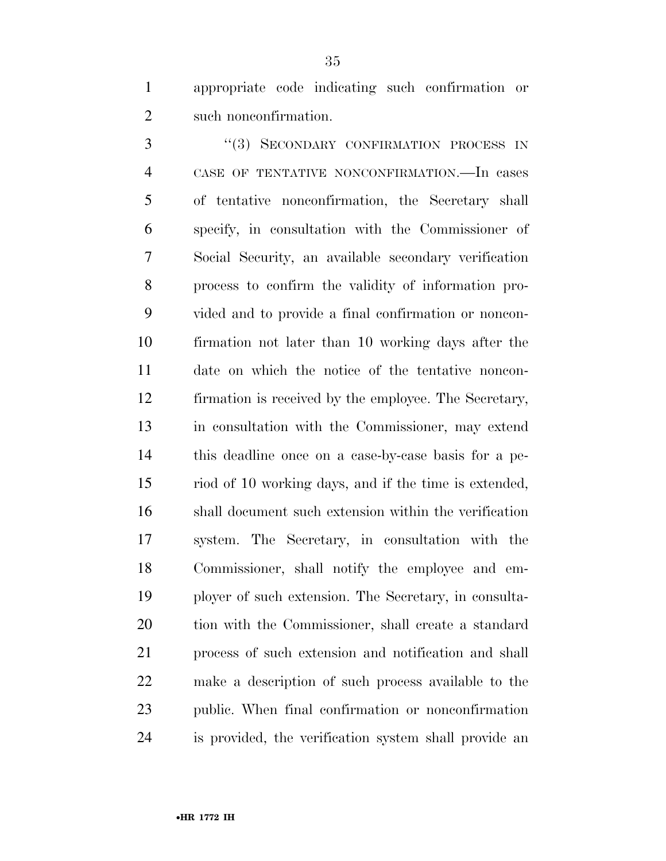appropriate code indicating such confirmation or such nonconfirmation.

3 "(3) SECONDARY CONFIRMATION PROCESS IN CASE OF TENTATIVE NONCONFIRMATION.—In cases of tentative nonconfirmation, the Secretary shall specify, in consultation with the Commissioner of Social Security, an available secondary verification process to confirm the validity of information pro- vided and to provide a final confirmation or noncon- firmation not later than 10 working days after the date on which the notice of the tentative noncon- firmation is received by the employee. The Secretary, in consultation with the Commissioner, may extend this deadline once on a case-by-case basis for a pe- riod of 10 working days, and if the time is extended, shall document such extension within the verification system. The Secretary, in consultation with the Commissioner, shall notify the employee and em- ployer of such extension. The Secretary, in consulta- tion with the Commissioner, shall create a standard process of such extension and notification and shall make a description of such process available to the public. When final confirmation or nonconfirmation is provided, the verification system shall provide an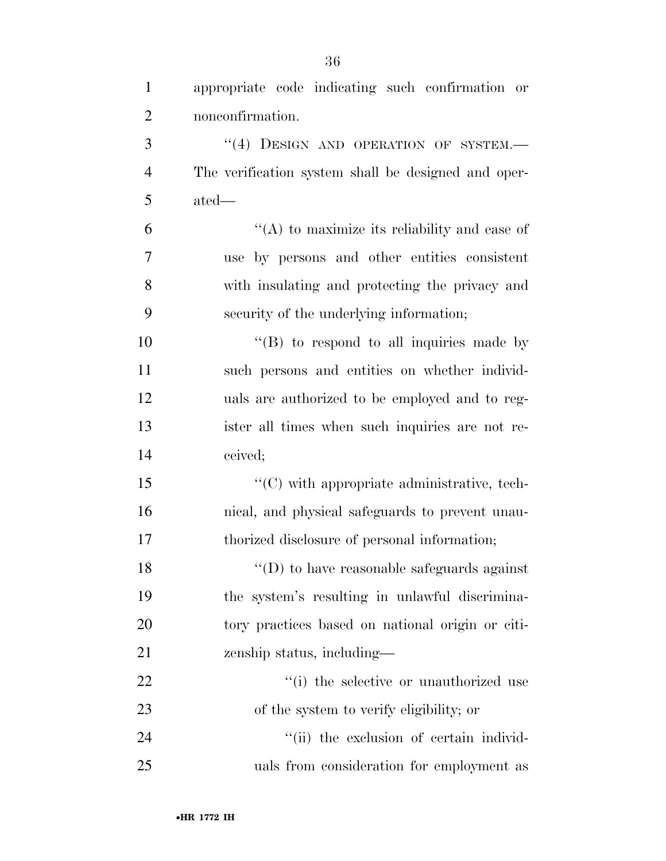| $\mathbf{1}$   | appropriate code indicating such confirmation or    |
|----------------|-----------------------------------------------------|
| $\mathfrak{2}$ | nonconfirmation.                                    |
| 3              | "(4) DESIGN AND OPERATION OF SYSTEM.-               |
| $\overline{4}$ | The verification system shall be designed and oper- |
| 5              | ated—                                               |
| 6              | "(A) to maximize its reliability and ease of        |
| 7              | use by persons and other entities consistent        |
| 8              | with insulating and protecting the privacy and      |
| 9              | security of the underlying information;             |
| 10             | $\lq\lq$ (B) to respond to all inquiries made by    |
| 11             | such persons and entities on whether individ-       |
| 12             | uals are authorized to be employed and to reg-      |
| 13             | ister all times when such inquiries are not re-     |
| 14             | ceived;                                             |
| 15             | $\lq\lq$ (C) with appropriate administrative, tech- |
| 16             | nical, and physical safeguards to prevent unau-     |
| 17             | thorized disclosure of personal information;        |
| 18             | $\lq\lq$ (D) to have reasonable safeguards against  |
| 19             | the system's resulting in unlawful discrimina-      |
| 20             | tory practices based on national origin or citi-    |
| 21             | zenship status, including—                          |
| 22             | "(i) the selective or unauthorized use              |
| 23             | of the system to verify eligibility; or             |
| 24             | "(ii) the exclusion of certain individ-             |
| 25             | uals from consideration for employment as           |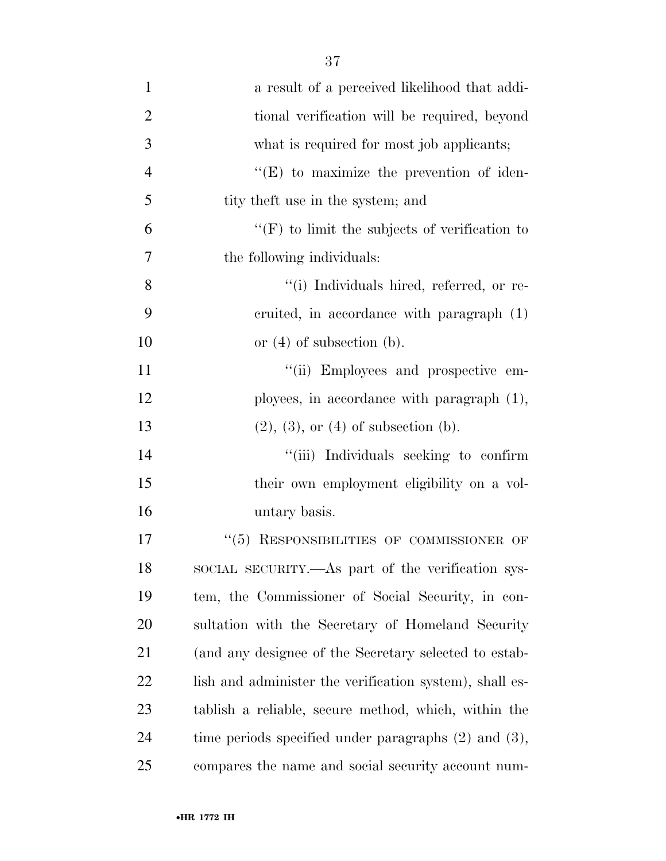| $\mathbf{1}$   | a result of a perceived likelihood that addi-             |
|----------------|-----------------------------------------------------------|
| $\overline{2}$ | tional verification will be required, beyond              |
| 3              | what is required for most job applicants;                 |
| $\overline{4}$ | $\lq\lq(E)$ to maximize the prevention of iden-           |
| 5              | tity the t use in the system; and                         |
| 6              | $\lq\lq(F)$ to limit the subjects of verification to      |
| 7              | the following individuals:                                |
| 8              | "(i) Individuals hired, referred, or re-                  |
| 9              | cruited, in accordance with paragraph (1)                 |
| 10             | or $(4)$ of subsection $(b)$ .                            |
| 11             | "(ii) Employees and prospective em-                       |
| 12             | ployees, in accordance with paragraph $(1)$ ,             |
| 13             | $(2), (3),$ or $(4)$ of subsection $(b)$ .                |
| 14             | "(iii) Individuals seeking to confirm                     |
| 15             | their own employment eligibility on a vol-                |
| 16             | untary basis.                                             |
| 17             | "(5) RESPONSIBILITIES OF COMMISSIONER OF                  |
| 18             | SOCIAL SECURITY.—As part of the verification sys-         |
| 19             | tem, the Commissioner of Social Security, in con-         |
| 20             | sultation with the Secretary of Homeland Security         |
| 21             | (and any designee of the Secretary selected to estab-     |
| 22             | lish and administer the verification system), shall es-   |
| 23             | tablish a reliable, secure method, which, within the      |
| 24             | time periods specified under paragraphs $(2)$ and $(3)$ , |
| 25             | compares the name and social security account num-        |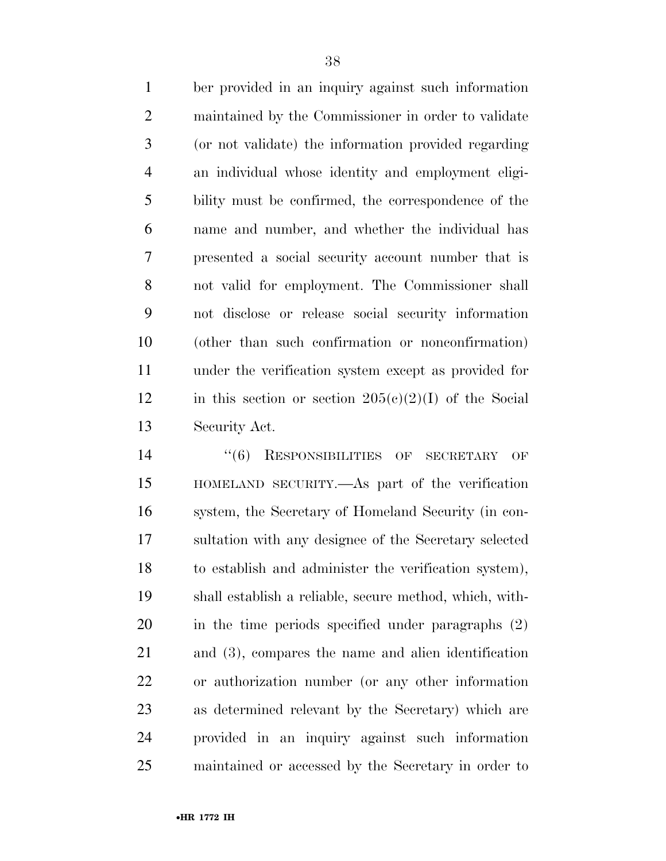ber provided in an inquiry against such information maintained by the Commissioner in order to validate (or not validate) the information provided regarding an individual whose identity and employment eligi- bility must be confirmed, the correspondence of the name and number, and whether the individual has presented a social security account number that is not valid for employment. The Commissioner shall not disclose or release social security information (other than such confirmation or nonconfirmation) under the verification system except as provided for 12 in this section or section  $205(e)(2)(I)$  of the Social Security Act.

 $(6)$  RESPONSIBILITIES OF SECRETARY OF HOMELAND SECURITY.—As part of the verification system, the Secretary of Homeland Security (in con- sultation with any designee of the Secretary selected to establish and administer the verification system), shall establish a reliable, secure method, which, with- in the time periods specified under paragraphs (2) and (3), compares the name and alien identification or authorization number (or any other information as determined relevant by the Secretary) which are provided in an inquiry against such information maintained or accessed by the Secretary in order to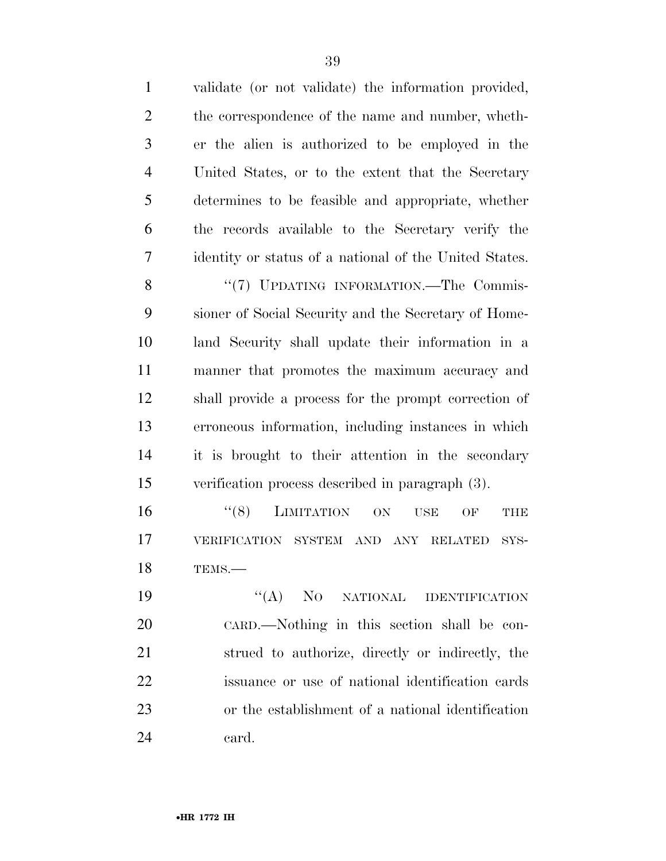| $\mathbf{1}$   | validate (or not validate) the information provided,               |
|----------------|--------------------------------------------------------------------|
| $\overline{2}$ | the correspondence of the name and number, wheth-                  |
| 3              | er the alien is authorized to be employed in the                   |
| $\overline{4}$ | United States, or to the extent that the Secretary                 |
| 5              | determines to be feasible and appropriate, whether                 |
| 6              | the records available to the Secretary verify the                  |
| 7              | identity or status of a national of the United States.             |
| 8              | "(7) UPDATING INFORMATION.—The Commis-                             |
| 9              | sioner of Social Security and the Secretary of Home-               |
| 10             | land Security shall update their information in a                  |
| 11             | manner that promotes the maximum accuracy and                      |
| 12             | shall provide a process for the prompt correction of               |
| 13             | erroneous information, including instances in which                |
| 14             | it is brought to their attention in the secondary                  |
| 15             | verification process described in paragraph (3).                   |
| 16             | ``(8)<br><b>LIMITATION</b><br>ON<br><b>USE</b><br>OF<br><b>THE</b> |
| 17             | VERIFICATION SYSTEM AND ANY RELATED<br>SYS-                        |
| 18             | TEMS.-                                                             |
| 19             | $\lq\lq (A)$<br>NO NATIONAL IDENTIFICATION                         |
| 20             | CARD.—Nothing in this section shall be con-                        |
| 21             | strued to authorize, directly or indirectly, the                   |
| 22             | issuance or use of national identification cards                   |
| 23             | or the establishment of a national identification                  |
| 24             | card.                                                              |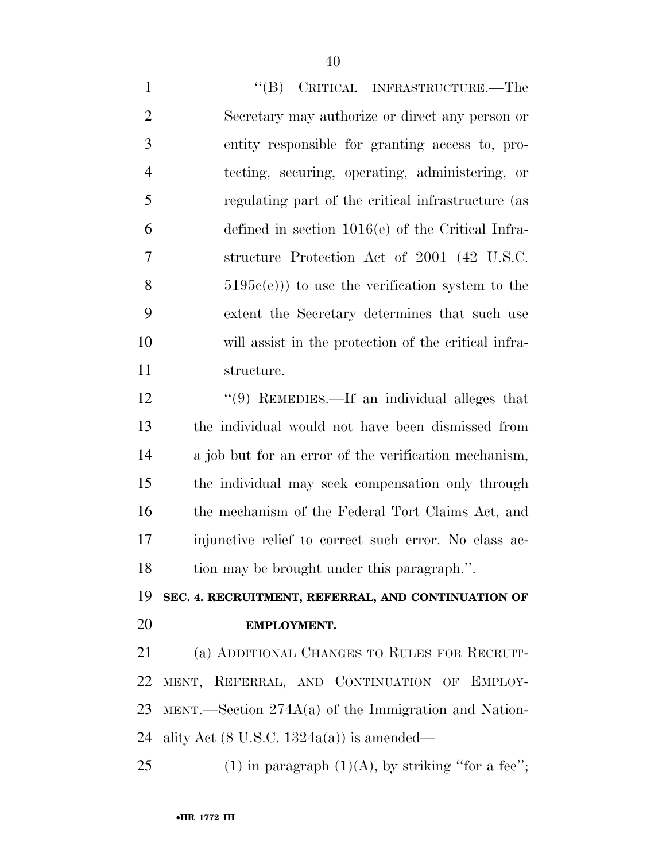1 "'(B) CRITICAL INFRASTRUCTURE.—The Secretary may authorize or direct any person or entity responsible for granting access to, pro- tecting, securing, operating, administering, or regulating part of the critical infrastructure (as defined in section 1016(e) of the Critical Infra- structure Protection Act of 2001 (42 U.S.C.  $8 \t\t 5195c(e))$  to use the verification system to the extent the Secretary determines that such use will assist in the protection of the critical infra- structure. 12 ''(9) REMEDIES.—If an individual alleges that

 the individual would not have been dismissed from a job but for an error of the verification mechanism, the individual may seek compensation only through the mechanism of the Federal Tort Claims Act, and injunctive relief to correct such error. No class ac-tion may be brought under this paragraph.''.

### **SEC. 4. RECRUITMENT, REFERRAL, AND CONTINUATION OF EMPLOYMENT.**

 (a) ADDITIONAL CHANGES TO RULES FOR RECRUIT- MENT, REFERRAL, AND CONTINUATION OF EMPLOY- MENT.—Section 274A(a) of the Immigration and Nation-24 ality Act  $(8 \text{ U.S.C. } 1324a(a))$  is amended—

25 (1) in paragraph  $(1)(A)$ , by striking "for a fee";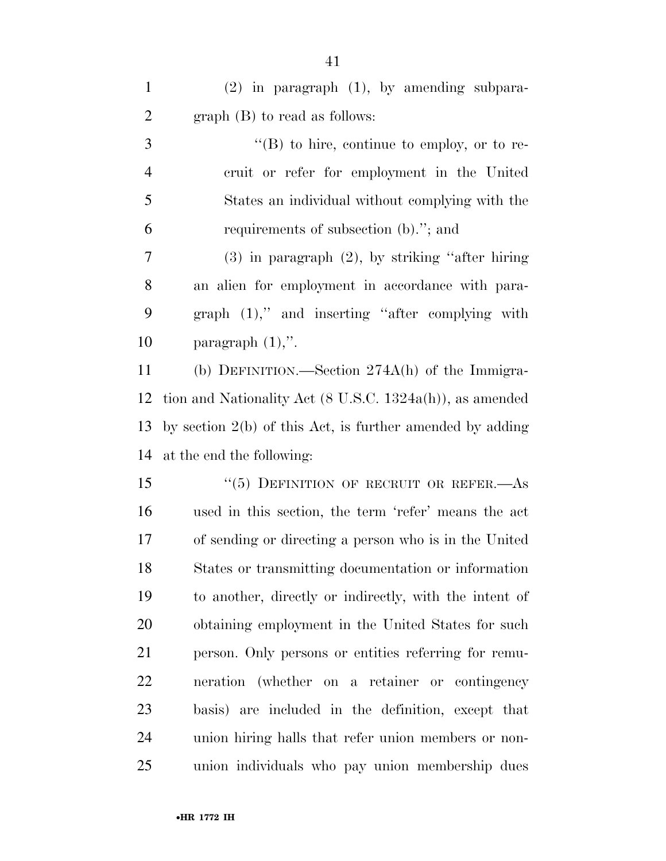(2) in paragraph (1), by amending subpara- graph (B) to read as follows: ''(B) to hire, continue to employ, or to re- cruit or refer for employment in the United States an individual without complying with the requirements of subsection (b).''; and (3) in paragraph (2), by striking ''after hiring an alien for employment in accordance with para- graph (1),'' and inserting ''after complying with 10 paragraph  $(1)$ ,". (b) DEFINITION.—Section 274A(h) of the Immigra- tion and Nationality Act (8 U.S.C. 1324a(h)), as amended by section 2(b) of this Act, is further amended by adding at the end the following: 15 "(5) DEFINITION OF RECRUIT OR REFER.—As used in this section, the term 'refer' means the act of sending or directing a person who is in the United States or transmitting documentation or information to another, directly or indirectly, with the intent of obtaining employment in the United States for such person. Only persons or entities referring for remu- neration (whether on a retainer or contingency basis) are included in the definition, except that union hiring halls that refer union members or non-

union individuals who pay union membership dues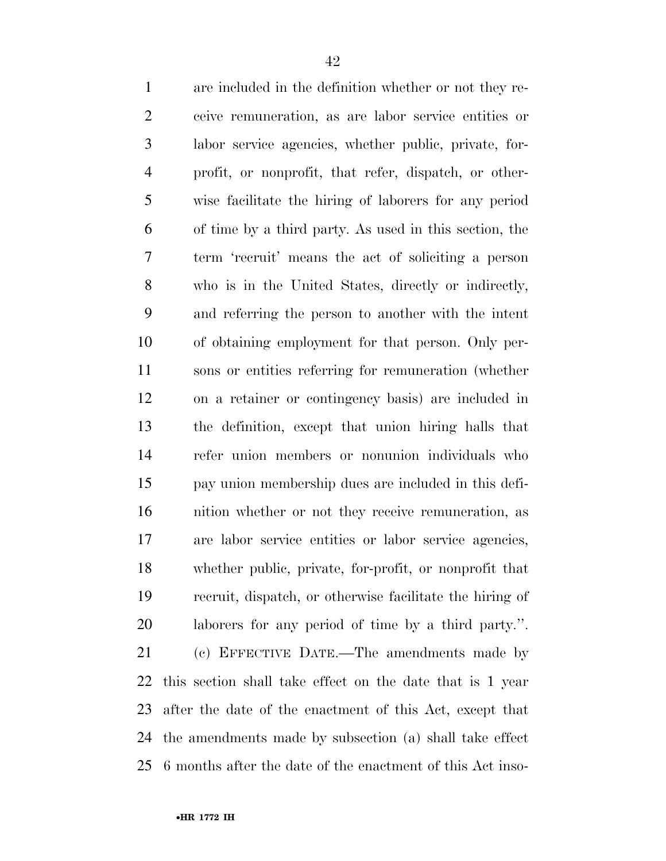| $\mathbf{1}$   | are included in the definition whether or not they re-     |
|----------------|------------------------------------------------------------|
| $\mathbf{2}$   | ceive remuneration, as are labor service entities or       |
| 3              | labor service agencies, whether public, private, for-      |
| $\overline{4}$ | profit, or nonprofit, that refer, dispatch, or other-      |
| 5              | wise facilitate the hiring of laborers for any period      |
| 6              | of time by a third party. As used in this section, the     |
| 7              | term 'recruit' means the act of soliciting a person        |
| $8\,$          | who is in the United States, directly or indirectly,       |
| 9              | and referring the person to another with the intent        |
| 10             | of obtaining employment for that person. Only per-         |
| 11             | sons or entities referring for remuneration (whether       |
| 12             | on a retainer or contingency basis) are included in        |
| 13             | the definition, except that union hiring halls that        |
| 14             | refer union members or nonunion individuals who            |
| 15             | pay union membership dues are included in this defi-       |
| 16             | nition whether or not they receive remuneration, as        |
| 17             | are labor service entities or labor service agencies,      |
| 18             | whether public, private, for-profit, or nonprofit that     |
| 19             | recruit, dispatch, or otherwise facilitate the hiring of   |
| 20             | laborers for any period of time by a third party.".        |
| 21             | (c) EFFECTIVE DATE.—The amendments made by                 |
| 22             | this section shall take effect on the date that is 1 year  |
| 23             | after the date of the enactment of this Act, except that   |
| 24             | the amendments made by subsection (a) shall take effect    |
| 25             | 6 months after the date of the enactment of this Act inso- |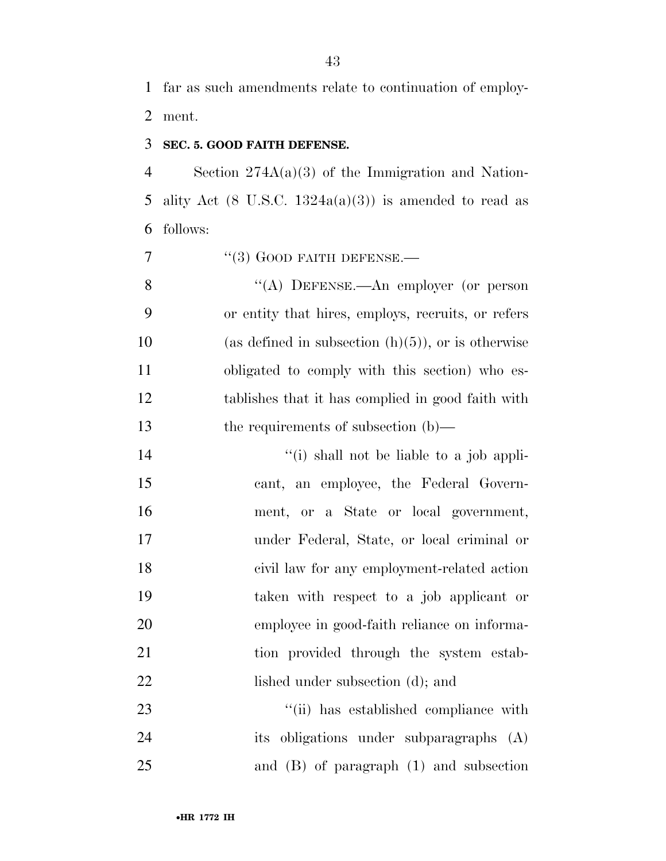far as such amendments relate to continuation of employ-ment.

### **SEC. 5. GOOD FAITH DEFENSE.**

 Section 274A(a)(3) of the Immigration and Nation-5 ality Act  $(8 \text{ U.S.C. } 1324a(a)(3))$  is amended to read as follows:

''(3) GOOD FAITH DEFENSE.—

 ''(A) DEFENSE.—An employer (or person or entity that hires, employs, recruits, or refers 10 (as defined in subsection  $(h)(5)$ ), or is otherwise obligated to comply with this section) who es- tablishes that it has complied in good faith with 13 the requirements of subsection (b)—

 $''(i)$  shall not be liable to a job appli- cant, an employee, the Federal Govern- ment, or a State or local government, under Federal, State, or local criminal or civil law for any employment-related action taken with respect to a job applicant or employee in good-faith reliance on informa-21 tion provided through the system estab-22 lished under subsection (d); and

23  $\frac{1}{1}$  has established compliance with its obligations under subparagraphs (A) and (B) of paragraph (1) and subsection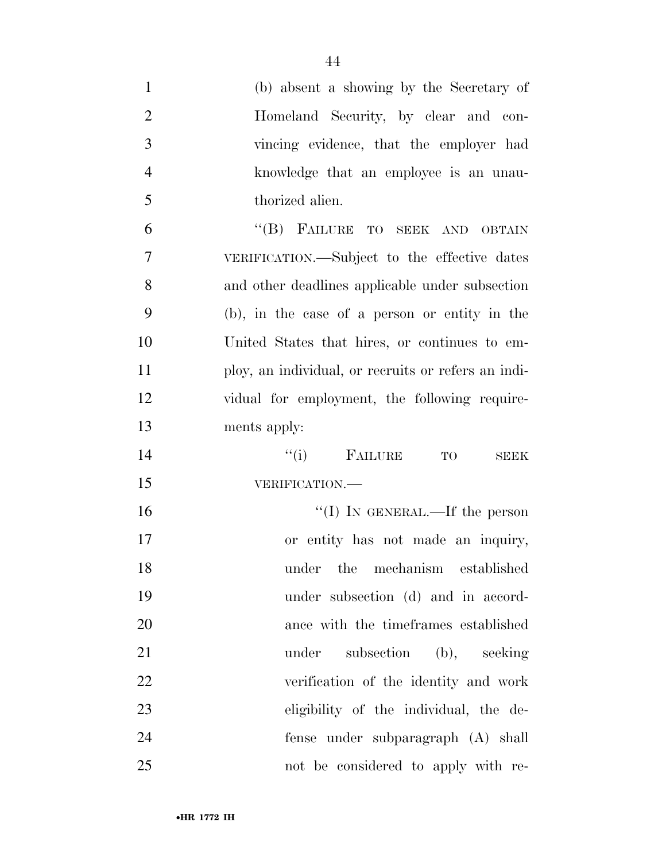| $\mathbf{1}$   | (b) absent a showing by the Secretary of            |
|----------------|-----------------------------------------------------|
| $\overline{2}$ | Homeland Security, by clear and con-                |
| 3              | vincing evidence, that the employer had             |
| $\overline{4}$ | knowledge that an employee is an unau-              |
| 5              | thorized alien.                                     |
| 6              | "(B) FAILURE TO SEEK AND OBTAIN                     |
| 7              | VERIFICATION.—Subject to the effective dates        |
| 8              | and other deadlines applicable under subsection     |
| 9              | (b), in the case of a person or entity in the       |
| 10             | United States that hires, or continues to em-       |
| 11             | ploy, an individual, or recruits or refers an indi- |
| 12             | vidual for employment, the following require-       |
| 13             | ments apply:                                        |
| 14             | $f'(i)$ FAILURE TO<br><b>SEEK</b>                   |
| 15             | VERIFICATION.-                                      |
| 16             | "(I) IN GENERAL.—If the person                      |
| 17             | or entity has not made an inquiry,                  |
| 18             | under the mechanism established                     |
| 19             | under subsection (d) and in accord-                 |
| 20             | ance with the timeframes established                |
| 21             | under subsection (b), seeking                       |
| 22             | verification of the identity and work               |
| 23             | eligibility of the individual, the de-              |
| 24             | fense under subparagraph (A) shall                  |
| 25             | not be considered to apply with re-                 |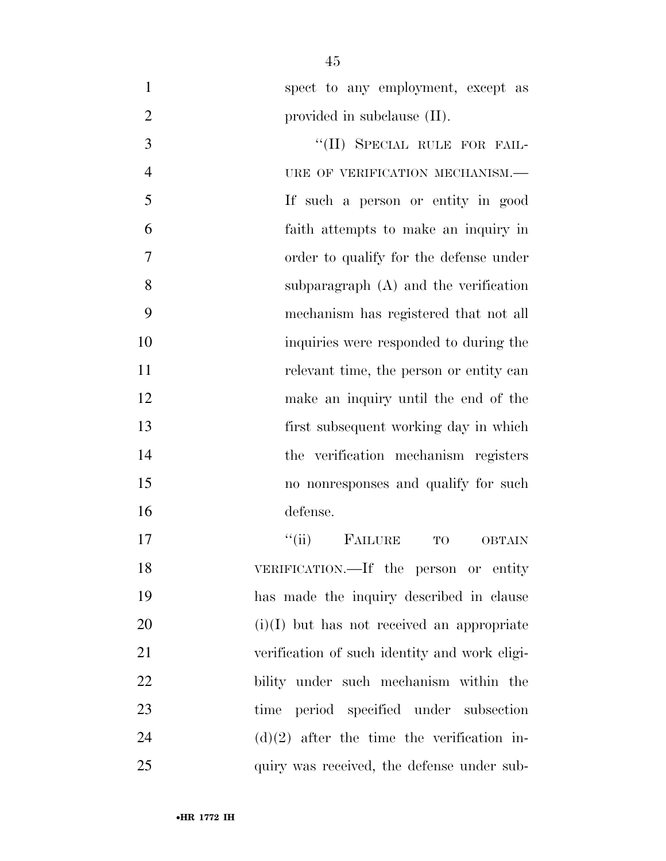| $\mathbf{1}$   | spect to any employment, except as                     |
|----------------|--------------------------------------------------------|
| $\overline{2}$ | provided in subclause (II).                            |
| 3              | "(II) SPECIAL RULE FOR FAIL-                           |
| $\overline{4}$ | URE OF VERIFICATION MECHANISM.-                        |
| 5              | If such a person or entity in good                     |
| 6              | faith attempts to make an inquiry in                   |
| 7              | order to qualify for the defense under                 |
| 8              | subparagraph $(A)$ and the verification                |
| 9              | mechanism has registered that not all                  |
| 10             | inquiries were responded to during the                 |
| 11             | relevant time, the person or entity can                |
| 12             | make an inquiry until the end of the                   |
| 13             | first subsequent working day in which                  |
| 14             | the verification mechanism registers                   |
| 15             | no nonresponses and qualify for such                   |
| 16             | defense.                                               |
| 17             | ``(ii)<br><b>FAILURE</b><br><b>TO</b><br><b>OBTAIN</b> |
| 18             | VERIFICATION.—If the person or entity                  |
| 19             | has made the inquiry described in clause               |
| 20             | $(i)(I)$ but has not received an appropriate           |
| 21             | verification of such identity and work eligi-          |
| 22             | bility under such mechanism within the                 |
| 23             | period specified under subsection<br>time              |
| 24             | $(d)(2)$ after the time the verification in-           |
| 25             | quiry was received, the defense under sub-             |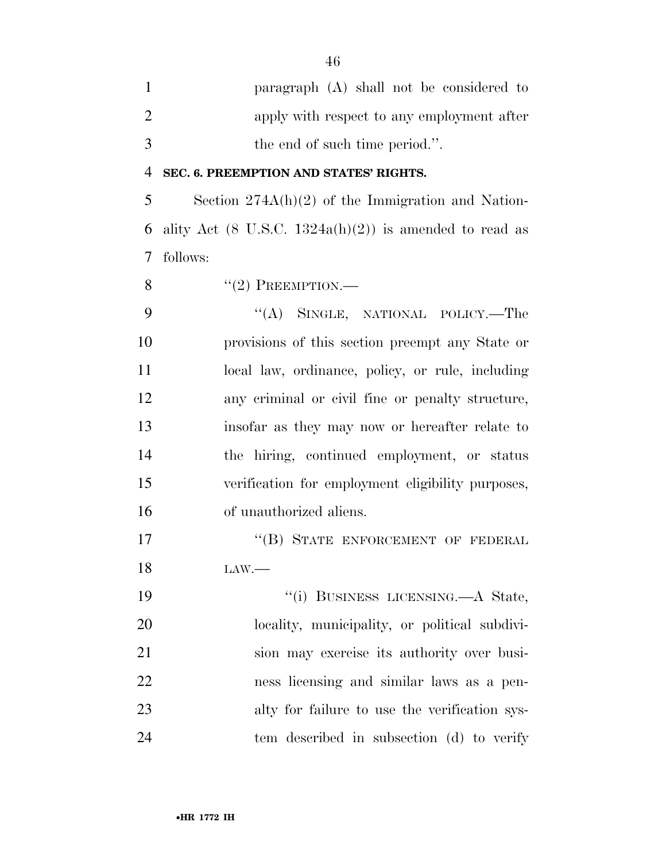paragraph (A) shall not be considered to 2 apply with respect to any employment after the end of such time period.''.

#### **SEC. 6. PREEMPTION AND STATES' RIGHTS.**

 Section 274A(h)(2) of the Immigration and Nation-6 ality Act (8 U.S.C.  $1324a(h)(2)$ ) is amended to read as follows:

8  $"(2)$  PREEMPTION.—

9 "(A) SINGLE, NATIONAL POLICY.—The provisions of this section preempt any State or 11 local law, ordinance, policy, or rule, including any criminal or civil fine or penalty structure, insofar as they may now or hereafter relate to the hiring, continued employment, or status verification for employment eligibility purposes, of unauthorized aliens.

17 "(B) STATE ENFORCEMENT OF FEDERAL LAW.—

 ''(i) BUSINESS LICENSING.—A State, locality, municipality, or political subdivi- sion may exercise its authority over busi- ness licensing and similar laws as a pen- alty for failure to use the verification sys-tem described in subsection (d) to verify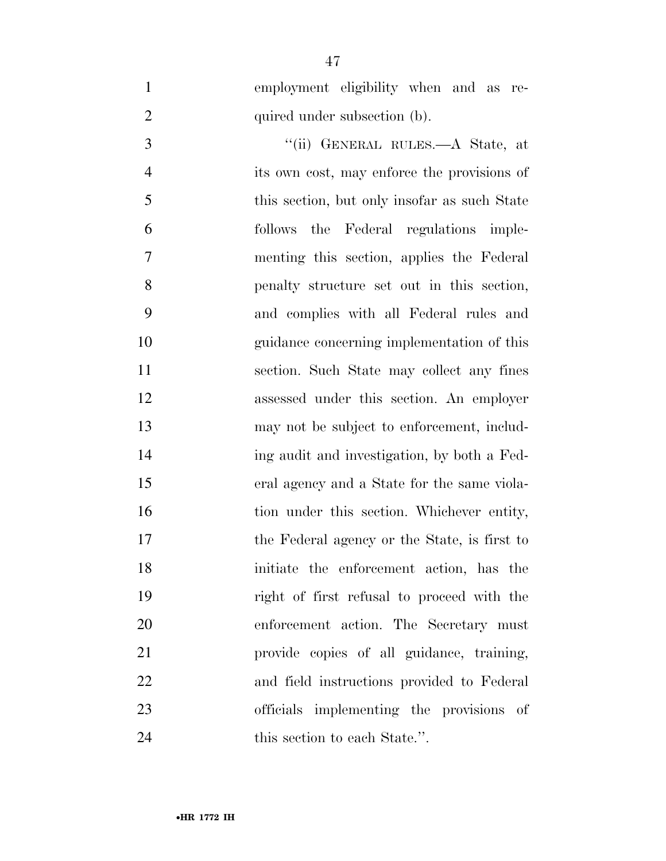employment eligibility when and as re-2 quired under subsection (b).

3 "(ii) GENERAL RULES.—A State, at its own cost, may enforce the provisions of 5 this section, but only insofar as such State follows the Federal regulations imple- menting this section, applies the Federal penalty structure set out in this section, and complies with all Federal rules and guidance concerning implementation of this section. Such State may collect any fines assessed under this section. An employer may not be subject to enforcement, includ- ing audit and investigation, by both a Fed- eral agency and a State for the same viola-16 tion under this section. Whichever entity, the Federal agency or the State, is first to initiate the enforcement action, has the right of first refusal to proceed with the enforcement action. The Secretary must provide copies of all guidance, training, and field instructions provided to Federal officials implementing the provisions of 24 this section to each State.".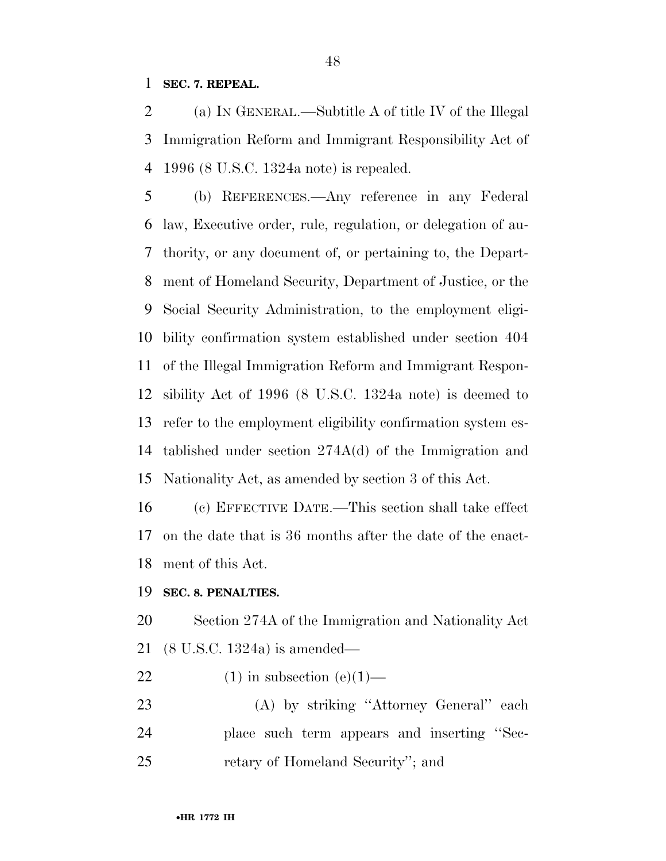**SEC. 7. REPEAL.** 

 (a) IN GENERAL.—Subtitle A of title IV of the Illegal Immigration Reform and Immigrant Responsibility Act of 1996 (8 U.S.C. 1324a note) is repealed.

 (b) REFERENCES.—Any reference in any Federal law, Executive order, rule, regulation, or delegation of au- thority, or any document of, or pertaining to, the Depart- ment of Homeland Security, Department of Justice, or the Social Security Administration, to the employment eligi- bility confirmation system established under section 404 of the Illegal Immigration Reform and Immigrant Respon- sibility Act of 1996 (8 U.S.C. 1324a note) is deemed to refer to the employment eligibility confirmation system es- tablished under section 274A(d) of the Immigration and Nationality Act, as amended by section 3 of this Act.

 (c) EFFECTIVE DATE.—This section shall take effect on the date that is 36 months after the date of the enact-ment of this Act.

#### **SEC. 8. PENALTIES.**

 Section 274A of the Immigration and Nationality Act (8 U.S.C. 1324a) is amended—

- 22 (1) in subsection  $(e)(1)$ —
- (A) by striking ''Attorney General'' each place such term appears and inserting ''Sec-retary of Homeland Security''; and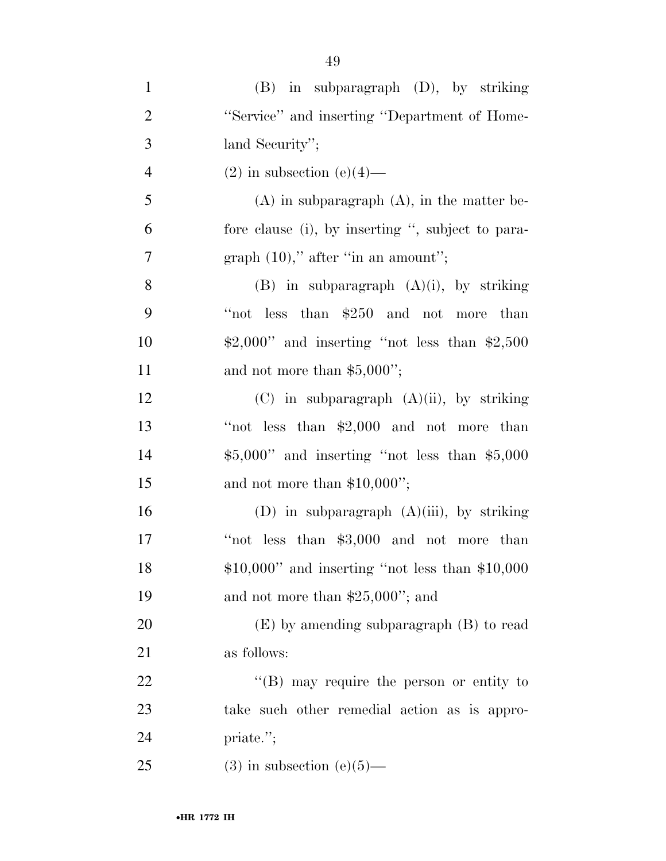| $\mathbf{1}$   | $(B)$ in subparagraph $(D)$ , by striking         |
|----------------|---------------------------------------------------|
| $\overline{2}$ | "Service" and inserting "Department of Home-      |
| 3              | land Security";                                   |
| $\overline{4}$ | $(2)$ in subsection $(e)(4)$ —                    |
| 5              | $(A)$ in subparagraph $(A)$ , in the matter be-   |
| 6              | fore clause (i), by inserting ", subject to para- |
| 7              | graph $(10)$ ," after "in an amount";             |
| 8              | $(B)$ in subparagraph $(A)(i)$ , by striking      |
| 9              | "not less than $$250$ and not more than           |
| 10             | $$2,000"$ and inserting "not less than $$2,500$   |
| 11             | and not more than $$5,000$ ";                     |
| 12             | $(C)$ in subparagraph $(A)(ii)$ , by striking     |
| 13             | "not less than $$2,000$ and not more than         |
| 14             | $$5,000"$ and inserting "not less than $$5,000$   |
| 15             | and not more than $$10,000$ ";                    |
| 16             | (D) in subparagraph $(A)(iii)$ , by striking      |
| 17             | "not less than $$3,000$ and not more than         |
| 18             | $$10,000"$ and inserting "not less than $$10,000$ |
| 19             | and not more than $$25,000$ "; and                |
| 20             | $(E)$ by amending subparagraph $(B)$ to read      |
| 21             | as follows:                                       |
| 22             | $\lq\lq (B)$ may require the person or entity to  |
| 23             | take such other remedial action as is appro-      |
| 24             | priate.";                                         |
| 25             | $(3)$ in subsection $(e)(5)$ —                    |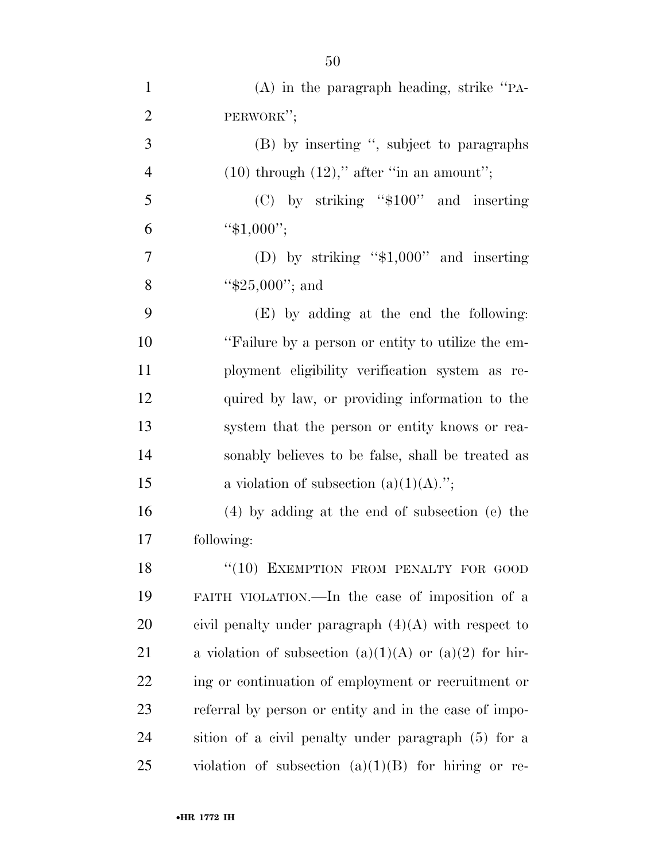| $\mathbf{1}$   | $(A)$ in the paragraph heading, strike "PA-            |
|----------------|--------------------------------------------------------|
| $\overline{2}$ | PERWORK";                                              |
| 3              | (B) by inserting ", subject to paragraphs              |
| $\overline{4}$ | $(10)$ through $(12)$ ," after "in an amount";         |
| 5              | $(C)$ by striking "\$100" and inserting                |
| 6              | " $$1,000$ ";                                          |
| 7              | (D) by striking " $$1,000"$ and inserting              |
| 8              | " $$25,000"$ ; and                                     |
| 9              | (E) by adding at the end the following:                |
| 10             | "Failure by a person or entity to utilize the em-      |
| 11             | ployment eligibility verification system as re-        |
| 12             | quired by law, or providing information to the         |
| 13             | system that the person or entity knows or rea-         |
| 14             | sonably believes to be false, shall be treated as      |
| 15             | a violation of subsection $(a)(1)(A)$ .";              |
| 16             | $(4)$ by adding at the end of subsection (e) the       |
| 17             | following:                                             |
| 18             | "(10) EXEMPTION FROM PENALTY FOR GOOD                  |
| 19             | FAITH VIOLATION.—In the case of imposition of a        |
| 20             | civil penalty under paragraph $(4)(A)$ with respect to |
| 21             | a violation of subsection (a)(1)(A) or (a)(2) for hir- |
| 22             | ing or continuation of employment or recruitment or    |
| 23             | referral by person or entity and in the case of impo-  |
| 24             | sition of a civil penalty under paragraph (5) for a    |
| 25             | violation of subsection $(a)(1)(B)$ for hiring or re-  |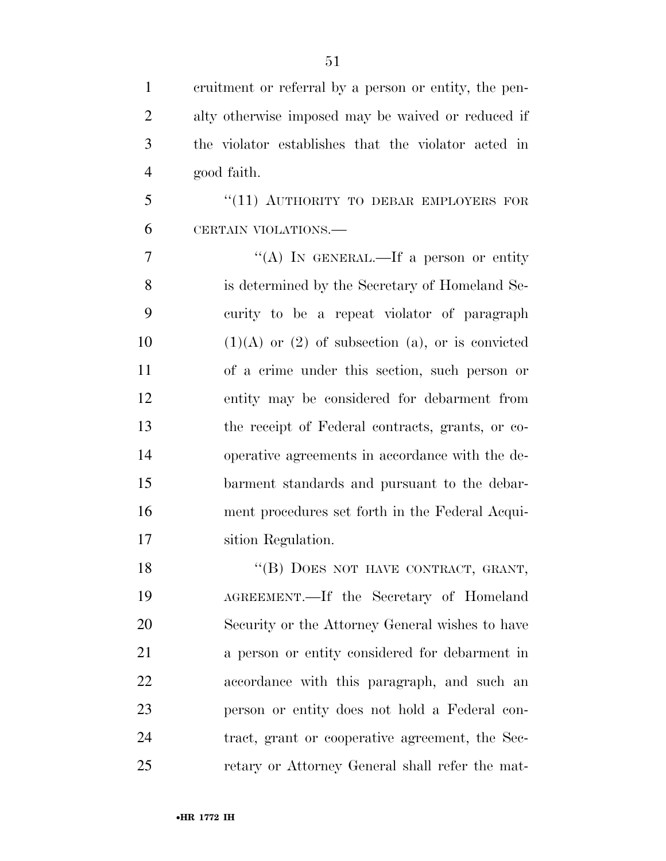| 1              | eruitment or referral by a person or entity, the pen-   |
|----------------|---------------------------------------------------------|
| $\overline{2}$ | alty otherwise imposed may be waived or reduced if      |
| 3              | the violator establishes that the violator acted in     |
| $\overline{4}$ | good faith.                                             |
| 5              | "(11) AUTHORITY TO DEBAR EMPLOYERS FOR                  |
| 6              | CERTAIN VIOLATIONS.                                     |
| 7              | "(A) IN GENERAL.—If a person or entity                  |
| 8              | is determined by the Secretary of Homeland Se-          |
| 9              | curity to be a repeat violator of paragraph             |
| 10             | $(1)(A)$ or $(2)$ of subsection $(a)$ , or is convicted |
| 11             | of a crime under this section, such person or           |
| 12             | entity may be considered for debarment from             |
| 13             | the receipt of Federal contracts, grants, or co-        |
| 14             | operative agreements in accordance with the de-         |
| 15             | barment standards and pursuant to the debar-            |
| 16             | ment procedures set forth in the Federal Acqui-         |
| 17             | sition Regulation.                                      |
| 18             | "(B) DOES NOT HAVE CONTRACT, GRANT,                     |
| 19             | AGREEMENT.—If the Secretary of Homeland                 |
| 20             | Security or the Attorney General wishes to have         |
|                |                                                         |

 AGREEMENT.—If the Secretary of Homeland Security or the Attorney General wishes to have a person or entity considered for debarment in accordance with this paragraph, and such an person or entity does not hold a Federal con- tract, grant or cooperative agreement, the Sec-retary or Attorney General shall refer the mat-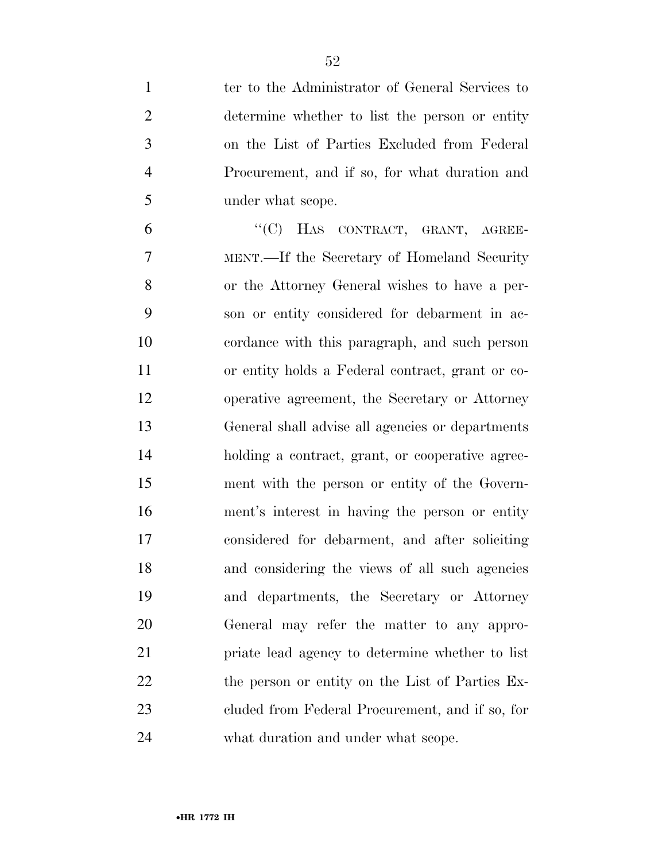| $\mathbf{1}$   | ter to the Administrator of General Services to  |
|----------------|--------------------------------------------------|
| $\overline{2}$ | determine whether to list the person or entity   |
| 3              | on the List of Parties Excluded from Federal     |
| $\overline{4}$ | Procurement, and if so, for what duration and    |
| 5              | under what scope.                                |
| 6              | "(C) HAS CONTRACT, GRANT, AGREE-                 |
| 7              | MENT.—If the Secretary of Homeland Security      |
| 8              | or the Attorney General wishes to have a per-    |
| 9              | son or entity considered for debarment in ac-    |
| 10             | cordance with this paragraph, and such person    |
| 11             | or entity holds a Federal contract, grant or co- |
| 12             | operative agreement, the Secretary or Attorney   |
| 13             | General shall advise all agencies or departments |
| 14             | holding a contract, grant, or cooperative agree- |
| 15             | ment with the person or entity of the Govern-    |
| 16             | ment's interest in having the person or entity   |
| 17             | considered for debarment, and after soliciting   |
| 18             | and considering the views of all such agencies   |
| 19             | and departments, the Secretary or Attorney       |
| 20             | General may refer the matter to any appro-       |
| 21             | priate lead agency to determine whether to list  |
| 22             | the person or entity on the List of Parties Ex-  |
| 23             | cluded from Federal Procurement, and if so, for  |
| 24             | what duration and under what scope.              |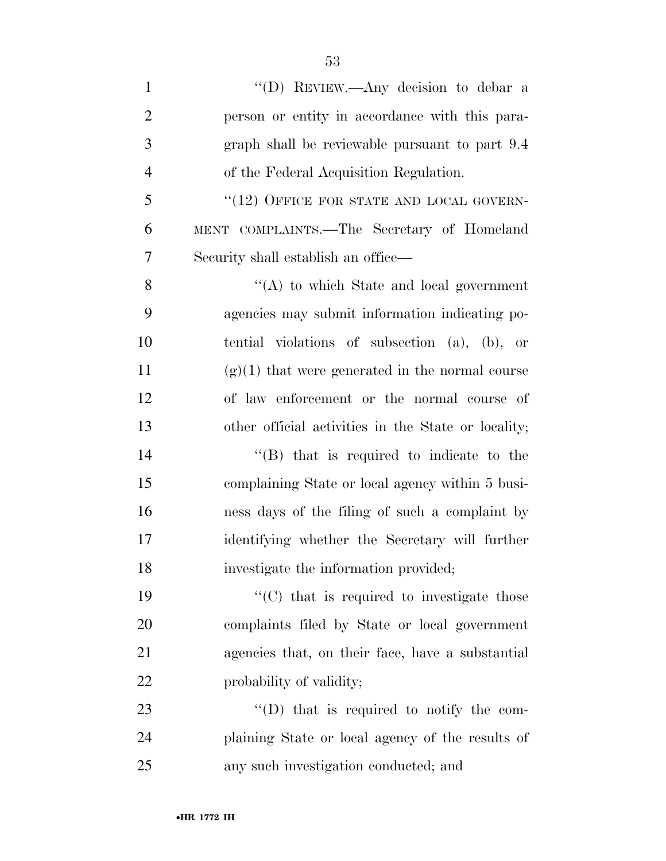1 ''(D) REVIEW.—Any decision to debar a person or entity in accordance with this para- graph shall be reviewable pursuant to part 9.4 of the Federal Acquisition Regulation. 5 "(12) OFFICE FOR STATE AND LOCAL GOVERN- MENT COMPLAINTS.—The Secretary of Homeland Security shall establish an office— ''(A) to which State and local government agencies may submit information indicating po- tential violations of subsection (a), (b), or 11 (g)(1) that were generated in the normal course of law enforcement or the normal course of other official activities in the State or locality; ''(B) that is required to indicate to the complaining State or local agency within 5 busi- ness days of the filing of such a complaint by identifying whether the Secretary will further investigate the information provided;  $"({\rm C})$  that is required to investigate those complaints filed by State or local government

22 probability of validity;

23  $\text{``(D)}$  that is required to notify the com- plaining State or local agency of the results of any such investigation conducted; and

agencies that, on their face, have a substantial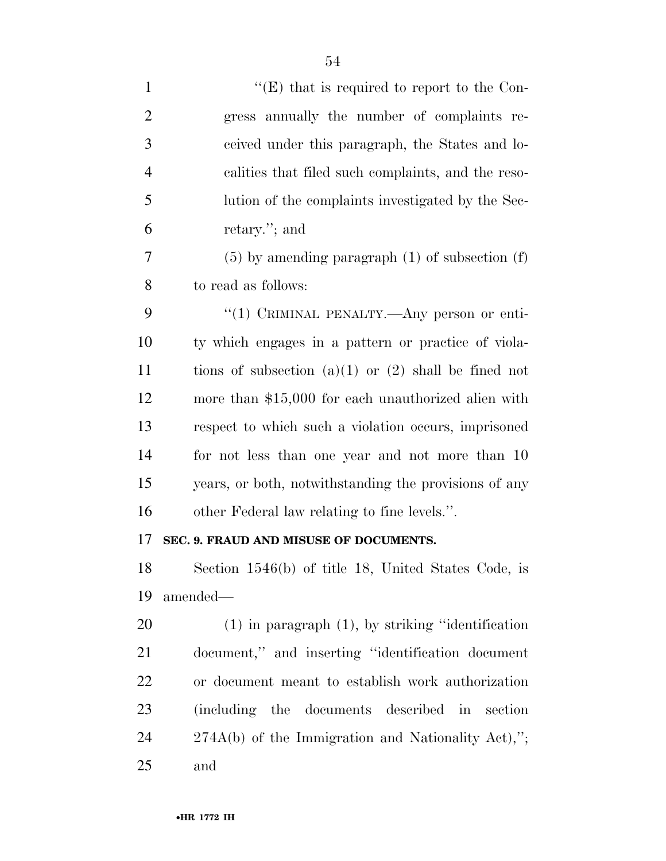| $\mathbf{1}$   | $\lq\lq(E)$ that is required to report to the Con-       |
|----------------|----------------------------------------------------------|
| $\overline{2}$ | gress annually the number of complaints re-              |
| 3              | ceived under this paragraph, the States and lo-          |
| $\overline{4}$ | calities that filed such complaints, and the reso-       |
| 5              | lution of the complaints investigated by the Sec-        |
| 6              | retary."; and                                            |
| 7              | $(5)$ by amending paragraph $(1)$ of subsection $(f)$    |
| 8              | to read as follows:                                      |
| 9              | "(1) CRIMINAL PENALTY.—Any person or enti-               |
| 10             | ty which engages in a pattern or practice of viola-      |
| 11             | tions of subsection $(a)(1)$ or $(2)$ shall be fined not |
| 12             | more than \$15,000 for each unauthorized alien with      |
| 13             | respect to which such a violation occurs, imprisoned     |
| 14             | for not less than one year and not more than 10          |
| 15             | years, or both, notwithstanding the provisions of any    |
| 16             | other Federal law relating to fine levels.".             |
| 17             | SEC. 9. FRAUD AND MISUSE OF DOCUMENTS.                   |
| 18             | Section 1546(b) of title 18, United States Code, is      |
| 19             | amended-                                                 |
| 20             | $(1)$ in paragraph $(1)$ , by striking "identification"  |
| 21             | document," and inserting "identification document"       |
| <u>22</u>      | or document meant to establish work authorization        |
| 23             | (including the documents described in<br>section         |
| 24             | 274A(b) of the Immigration and Nationality Act),";       |
| 25             | and                                                      |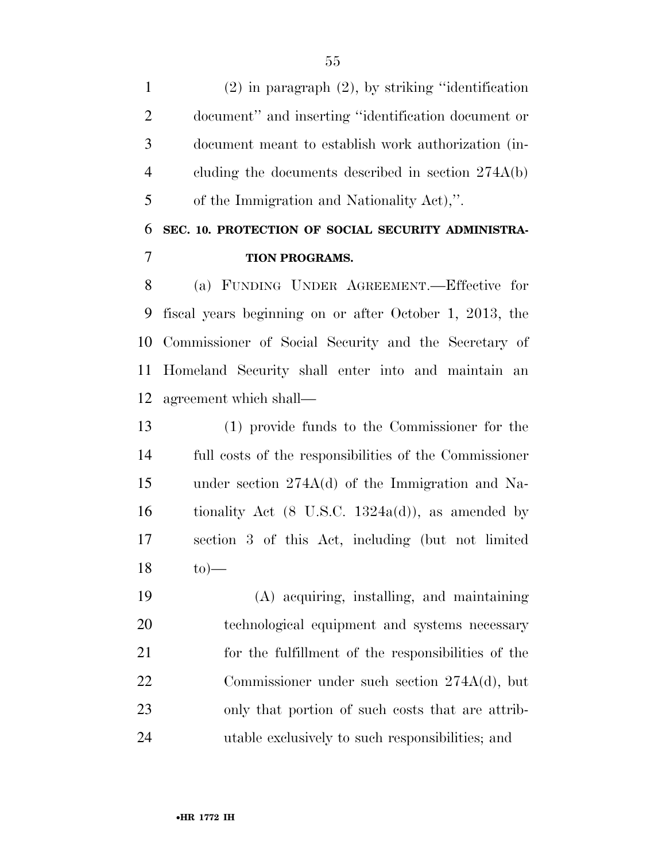(2) in paragraph (2), by striking ''identification document'' and inserting ''identification document or document meant to establish work authorization (in- cluding the documents described in section 274A(b) of the Immigration and Nationality Act),''.

## **SEC. 10. PROTECTION OF SOCIAL SECURITY ADMINISTRA-TION PROGRAMS.**

 (a) FUNDING UNDER AGREEMENT.—Effective for fiscal years beginning on or after October 1, 2013, the Commissioner of Social Security and the Secretary of Homeland Security shall enter into and maintain an agreement which shall—

 (1) provide funds to the Commissioner for the full costs of the responsibilities of the Commissioner under section 274A(d) of the Immigration and Na-16 tionality Act  $(8 \text{ U.S.C. } 1324a(d))$ , as amended by section 3 of this Act, including (but not limited to  $\rightarrow$ 

 (A) acquiring, installing, and maintaining technological equipment and systems necessary for the fulfillment of the responsibilities of the Commissioner under such section 274A(d), but only that portion of such costs that are attrib-utable exclusively to such responsibilities; and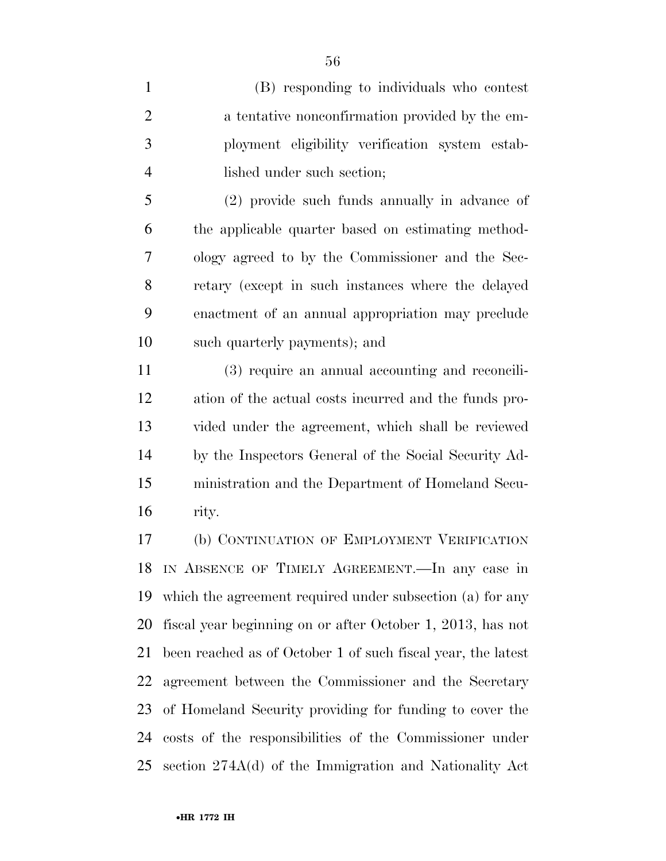(B) responding to individuals who contest 2 a tentative nonconfirmation provided by the em- ployment eligibility verification system estab-lished under such section;

 (2) provide such funds annually in advance of the applicable quarter based on estimating method- ology agreed to by the Commissioner and the Sec- retary (except in such instances where the delayed enactment of an annual appropriation may preclude such quarterly payments); and

 (3) require an annual accounting and reconcili- ation of the actual costs incurred and the funds pro- vided under the agreement, which shall be reviewed by the Inspectors General of the Social Security Ad- ministration and the Department of Homeland Secu-rity.

 (b) CONTINUATION OF EMPLOYMENT VERIFICATION IN ABSENCE OF TIMELY AGREEMENT.—In any case in which the agreement required under subsection (a) for any fiscal year beginning on or after October 1, 2013, has not been reached as of October 1 of such fiscal year, the latest agreement between the Commissioner and the Secretary of Homeland Security providing for funding to cover the costs of the responsibilities of the Commissioner under section 274A(d) of the Immigration and Nationality Act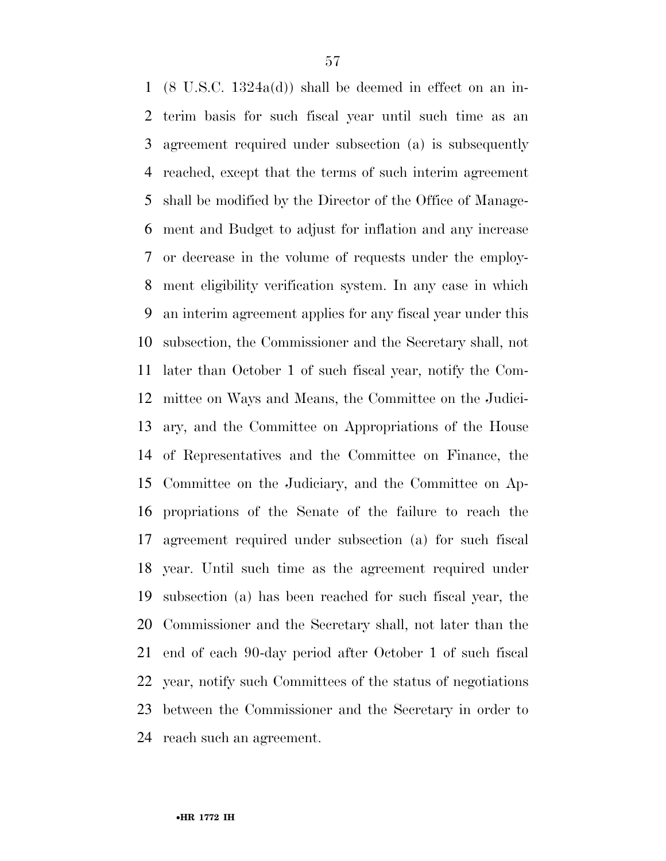(8 U.S.C. 1324a(d)) shall be deemed in effect on an in- terim basis for such fiscal year until such time as an agreement required under subsection (a) is subsequently reached, except that the terms of such interim agreement shall be modified by the Director of the Office of Manage- ment and Budget to adjust for inflation and any increase or decrease in the volume of requests under the employ- ment eligibility verification system. In any case in which an interim agreement applies for any fiscal year under this subsection, the Commissioner and the Secretary shall, not later than October 1 of such fiscal year, notify the Com- mittee on Ways and Means, the Committee on the Judici- ary, and the Committee on Appropriations of the House of Representatives and the Committee on Finance, the Committee on the Judiciary, and the Committee on Ap- propriations of the Senate of the failure to reach the agreement required under subsection (a) for such fiscal year. Until such time as the agreement required under subsection (a) has been reached for such fiscal year, the Commissioner and the Secretary shall, not later than the end of each 90-day period after October 1 of such fiscal year, notify such Committees of the status of negotiations between the Commissioner and the Secretary in order to reach such an agreement.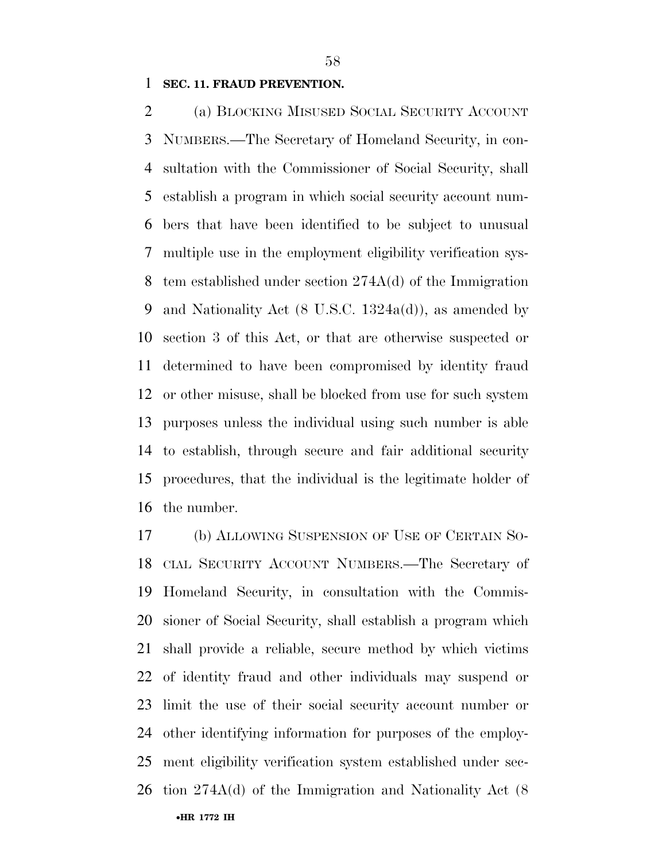#### **SEC. 11. FRAUD PREVENTION.**

 (a) BLOCKING MISUSED SOCIAL SECURITY ACCOUNT NUMBERS.—The Secretary of Homeland Security, in con- sultation with the Commissioner of Social Security, shall establish a program in which social security account num- bers that have been identified to be subject to unusual multiple use in the employment eligibility verification sys- tem established under section 274A(d) of the Immigration and Nationality Act (8 U.S.C. 1324a(d)), as amended by section 3 of this Act, or that are otherwise suspected or determined to have been compromised by identity fraud or other misuse, shall be blocked from use for such system purposes unless the individual using such number is able to establish, through secure and fair additional security procedures, that the individual is the legitimate holder of the number.

•**HR 1772 IH** (b) ALLOWING SUSPENSION OF USE OF CERTAIN SO- CIAL SECURITY ACCOUNT NUMBERS.—The Secretary of Homeland Security, in consultation with the Commis- sioner of Social Security, shall establish a program which shall provide a reliable, secure method by which victims of identity fraud and other individuals may suspend or limit the use of their social security account number or other identifying information for purposes of the employ- ment eligibility verification system established under sec-tion 274A(d) of the Immigration and Nationality Act (8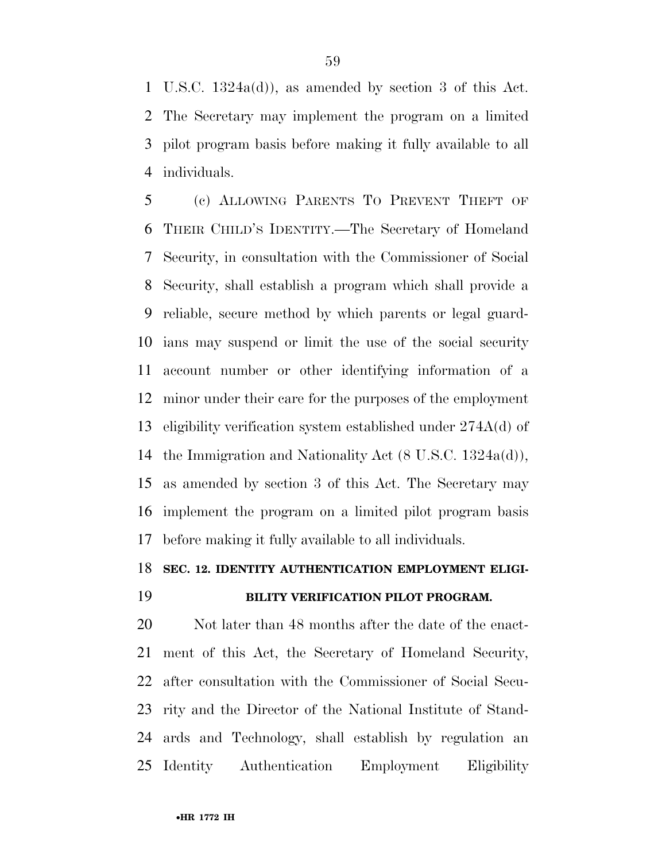U.S.C. 1324a(d)), as amended by section 3 of this Act. The Secretary may implement the program on a limited pilot program basis before making it fully available to all individuals.

 (c) ALLOWING PARENTS TO PREVENT THEFT OF THEIR CHILD'S IDENTITY.—The Secretary of Homeland Security, in consultation with the Commissioner of Social Security, shall establish a program which shall provide a reliable, secure method by which parents or legal guard- ians may suspend or limit the use of the social security account number or other identifying information of a minor under their care for the purposes of the employment eligibility verification system established under 274A(d) of the Immigration and Nationality Act (8 U.S.C. 1324a(d)), as amended by section 3 of this Act. The Secretary may implement the program on a limited pilot program basis before making it fully available to all individuals.

#### **SEC. 12. IDENTITY AUTHENTICATION EMPLOYMENT ELIGI-**

### **BILITY VERIFICATION PILOT PROGRAM.**

20 Not later than 48 months after the date of the enact- ment of this Act, the Secretary of Homeland Security, after consultation with the Commissioner of Social Secu- rity and the Director of the National Institute of Stand- ards and Technology, shall establish by regulation an Identity Authentication Employment Eligibility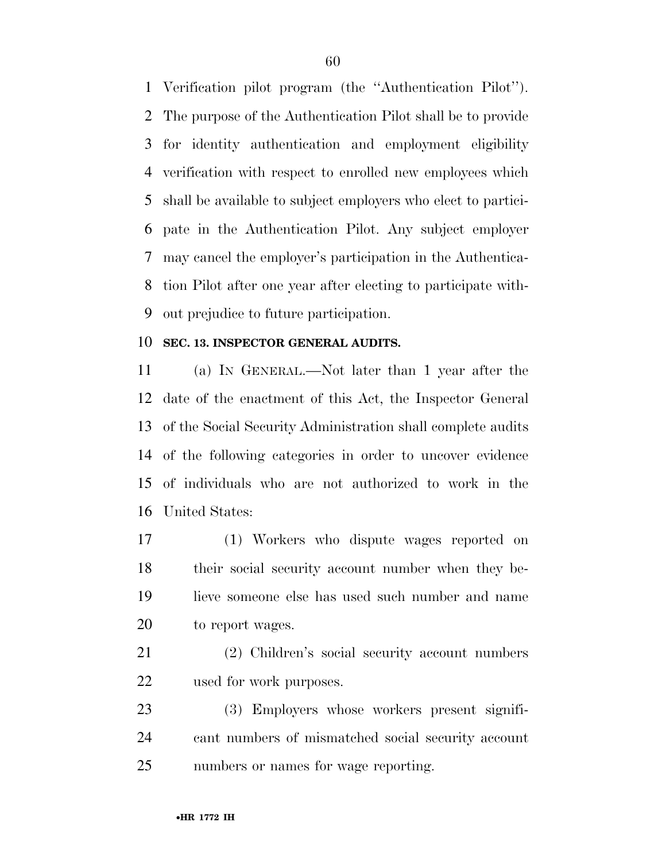Verification pilot program (the ''Authentication Pilot''). The purpose of the Authentication Pilot shall be to provide for identity authentication and employment eligibility verification with respect to enrolled new employees which shall be available to subject employers who elect to partici- pate in the Authentication Pilot. Any subject employer may cancel the employer's participation in the Authentica- tion Pilot after one year after electing to participate with-out prejudice to future participation.

### **SEC. 13. INSPECTOR GENERAL AUDITS.**

 (a) IN GENERAL.—Not later than 1 year after the date of the enactment of this Act, the Inspector General of the Social Security Administration shall complete audits of the following categories in order to uncover evidence of individuals who are not authorized to work in the United States:

 (1) Workers who dispute wages reported on their social security account number when they be- lieve someone else has used such number and name 20 to report wages.

 (2) Children's social security account numbers used for work purposes.

 (3) Employers whose workers present signifi- cant numbers of mismatched social security account numbers or names for wage reporting.